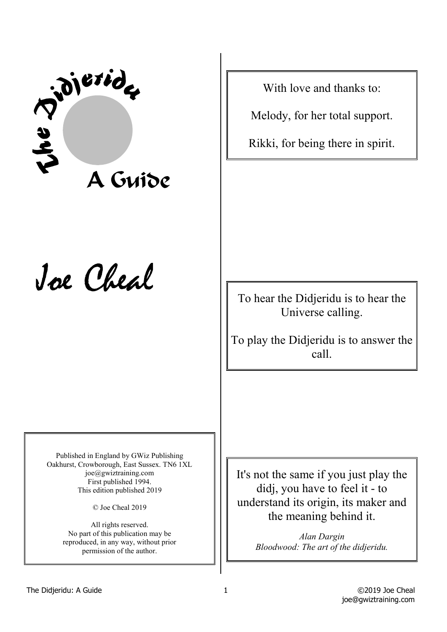

# Joe Cheal

With love and thanks to:

Melody, for her total support.

Rikki, for being there in spirit.

To hear the Didjeridu is to hear the Universe calling.

To play the Didjeridu is to answer the call.

Published in England by GWiz Publishing Oakhurst, Crowborough, East Sussex. TN6 1XL joe@gwiztraining.com First published 1994. This edition published 2019

© Joe Cheal 2019

All rights reserved. No part of this publication may be reproduced, in any way, without prior permission of the author.

It's not the same if you just play the didj, you have to feel it - to understand its origin, its maker and the meaning behind it.

> *Alan Dargin Bloodwood: The art of the didjeridu.*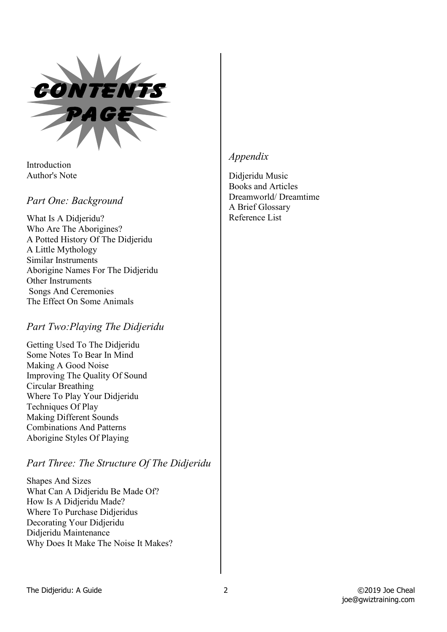CONTENTS

Introduction Author's Note

# *Part One: Background*

What Is A Didjeridu? Who Are The Aborigines? A Potted History Of The Didjeridu A Little Mythology Similar Instruments Aborigine Names For The Didjeridu Other Instruments Songs And Ceremonies The Effect On Some Animals

# *Part Two:Playing The Didjeridu*

Getting Used To The Didjeridu Some Notes To Bear In Mind Making A Good Noise Improving The Quality Of Sound Circular Breathing Where To Play Your Didjeridu Techniques Of Play Making Different Sounds Combinations And Patterns Aborigine Styles Of Playing

# *Part Three: The Structure Of The Didjeridu*

Shapes And Sizes What Can A Didjeridu Be Made Of? How Is A Didjeridu Made? Where To Purchase Didjeridus Decorating Your Didjeridu Didjeridu Maintenance Why Does It Make The Noise It Makes?

# *Appendix*

Didjeridu Music Books and Articles Dreamworld/ Dreamtime A Brief Glossary Reference List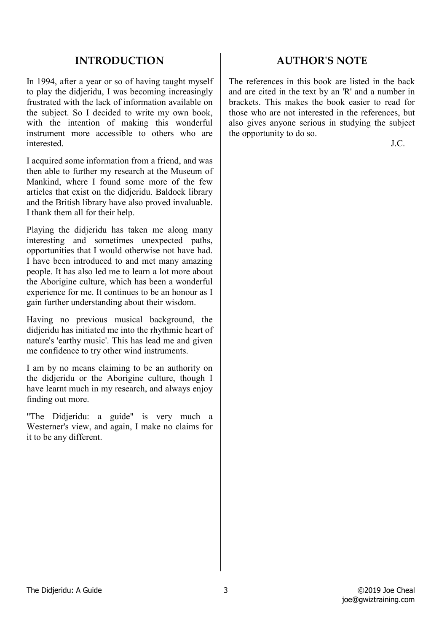# **INTRODUCTION**

In 1994, after a year or so of having taught myself to play the didjeridu, I was becoming increasingly frustrated with the lack of information available on the subject. So I decided to write my own book, with the intention of making this wonderful instrument more accessible to others who are interested.

I acquired some information from a friend, and was then able to further my research at the Museum of Mankind, where I found some more of the few articles that exist on the didjeridu. Baldock library and the British library have also proved invaluable. I thank them all for their help.

Playing the didjeridu has taken me along many interesting and sometimes unexpected paths, opportunities that I would otherwise not have had. I have been introduced to and met many amazing people. It has also led me to learn a lot more about the Aborigine culture, which has been a wonderful experience for me. It continues to be an honour as I gain further understanding about their wisdom.

Having no previous musical background, the didjeridu has initiated me into the rhythmic heart of nature's 'earthy music'. This has lead me and given me confidence to try other wind instruments.

I am by no means claiming to be an authority on the didjeridu or the Aborigine culture, though I have learnt much in my research, and always enjoy finding out more.

"The Didjeridu: a guide" is very much a Westerner's view, and again, I make no claims for it to be any different.

# **AUTHOR'S NOTE**

The references in this book are listed in the back and are cited in the text by an 'R' and a number in brackets. This makes the book easier to read for those who are not interested in the references, but also gives anyone serious in studying the subject the opportunity to do so.

J.C.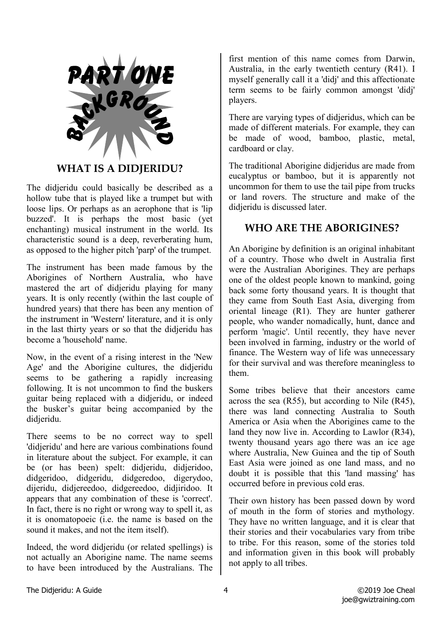

#### **WHAT IS A DIDJERIDU?**

The didjeridu could basically be described as a hollow tube that is played like a trumpet but with loose lips. Or perhaps as an aerophone that is 'lip buzzed'. It is perhaps the most basic (yet enchanting) musical instrument in the world. Its characteristic sound is a deep, reverberating hum, as opposed to the higher pitch 'parp' of the trumpet.

The instrument has been made famous by the Aborigines of Northern Australia, who have mastered the art of didjeridu playing for many years. It is only recently (within the last couple of hundred years) that there has been any mention of the instrument in 'Western' literature, and it is only in the last thirty years or so that the didjeridu has become a 'household' name.

Now, in the event of a rising interest in the 'New Age' and the Aborigine cultures, the didjeridu seems to be gathering a rapidly increasing following. It is not uncommon to find the buskers guitar being replaced with a didjeridu, or indeed the busker's guitar being accompanied by the didjeridu.

There seems to be no correct way to spell 'didjeridu' and here are various combinations found in literature about the subject. For example, it can be (or has been) spelt: didjeridu, didjeridoo, didgeridoo, didgeridu, didgeredoo, digerydoo, dijeridu, didjereedoo, didgereedoo, didjiridoo. It appears that any combination of these is 'correct'. In fact, there is no right or wrong way to spell it, as it is onomatopoeic (i.e. the name is based on the sound it makes, and not the item itself).

Indeed, the word didjeridu (or related spellings) is not actually an Aborigine name. The name seems to have been introduced by the Australians. The

first mention of this name comes from Darwin, Australia, in the early twentieth century (R41). I myself generally call it a 'didj' and this affectionate term seems to be fairly common amongst 'didj' players.

There are varying types of didjeridus, which can be made of different materials. For example, they can be made of wood, bamboo, plastic, metal, cardboard or clay.

The traditional Aborigine didjeridus are made from eucalyptus or bamboo, but it is apparently not uncommon for them to use the tail pipe from trucks or land rovers. The structure and make of the didjeridu is discussed later.

# **WHO ARE THE ABORIGINES?**

An Aborigine by definition is an original inhabitant of a country. Those who dwelt in Australia first were the Australian Aborigines. They are perhaps one of the oldest people known to mankind, going back some forty thousand years. It is thought that they came from South East Asia, diverging from oriental lineage (R1). They are hunter gatherer people, who wander nomadically, hunt, dance and perform 'magic'. Until recently, they have never been involved in farming, industry or the world of finance. The Western way of life was unnecessary for their survival and was therefore meaningless to them.

Some tribes believe that their ancestors came across the sea (R55), but according to Nile (R45), there was land connecting Australia to South America or Asia when the Aborigines came to the land they now live in. According to Lawlor (R34), twenty thousand years ago there was an ice age where Australia, New Guinea and the tip of South East Asia were joined as one land mass, and no doubt it is possible that this 'land massing' has occurred before in previous cold eras.

Their own history has been passed down by word of mouth in the form of stories and mythology. They have no written language, and it is clear that their stories and their vocabularies vary from tribe to tribe. For this reason, some of the stories told and information given in this book will probably not apply to all tribes.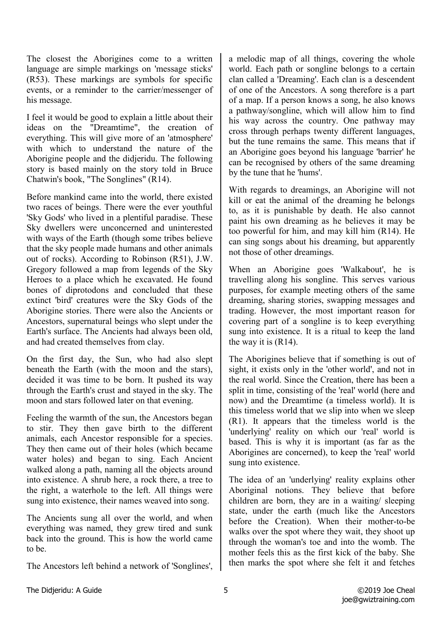The closest the Aborigines come to a written language are simple markings on 'message sticks' (R53). These markings are symbols for specific events, or a reminder to the carrier/messenger of his message.

I feel it would be good to explain a little about their ideas on the "Dreamtime", the creation of everything. This will give more of an 'atmosphere' with which to understand the nature of the Aborigine people and the didjeridu. The following story is based mainly on the story told in Bruce Chatwin's book, "The Songlines" (R14).

Before mankind came into the world, there existed two races of beings. There were the ever youthful 'Sky Gods' who lived in a plentiful paradise. These Sky dwellers were unconcerned and uninterested with ways of the Earth (though some tribes believe that the sky people made humans and other animals out of rocks). According to Robinson (R51), J.W. Gregory followed a map from legends of the Sky Heroes to a place which he excavated. He found bones of diprotodons and concluded that these extinct 'bird' creatures were the Sky Gods of the Aborigine stories. There were also the Ancients or Ancestors, supernatural beings who slept under the Earth's surface. The Ancients had always been old, and had created themselves from clay.

On the first day, the Sun, who had also slept beneath the Earth (with the moon and the stars), decided it was time to be born. It pushed its way through the Earth's crust and stayed in the sky. The moon and stars followed later on that evening.

Feeling the warmth of the sun, the Ancestors began to stir. They then gave birth to the different animals, each Ancestor responsible for a species. They then came out of their holes (which became water holes) and began to sing. Each Ancient walked along a path, naming all the objects around into existence. A shrub here, a rock there, a tree to the right, a waterhole to the left. All things were sung into existence, their names weaved into song.

The Ancients sung all over the world, and when everything was named, they grew tired and sunk back into the ground. This is how the world came to be.

The Ancestors left behind a network of 'Songlines',

a melodic map of all things, covering the whole world. Each path or songline belongs to a certain clan called a 'Dreaming'. Each clan is a descendent of one of the Ancestors. A song therefore is a part of a map. If a person knows a song, he also knows a pathway/songline, which will allow him to find his way across the country. One pathway may cross through perhaps twenty different languages, but the tune remains the same. This means that if an Aborigine goes beyond his language 'barrier' he can be recognised by others of the same dreaming by the tune that he 'hums'.

With regards to dreamings, an Aborigine will not kill or eat the animal of the dreaming he belongs to, as it is punishable by death. He also cannot paint his own dreaming as he believes it may be too powerful for him, and may kill him (R14). He can sing songs about his dreaming, but apparently not those of other dreamings.

When an Aborigine goes 'Walkabout', he is travelling along his songline. This serves various purposes, for example meeting others of the same dreaming, sharing stories, swapping messages and trading. However, the most important reason for covering part of a songline is to keep everything sung into existence. It is a ritual to keep the land the way it is  $(R14)$ .

The Aborigines believe that if something is out of sight, it exists only in the 'other world', and not in the real world. Since the Creation, there has been a split in time, consisting of the 'real' world (here and now) and the Dreamtime (a timeless world). It is this timeless world that we slip into when we sleep (R1). It appears that the timeless world is the 'underlying' reality on which our 'real' world is based. This is why it is important (as far as the Aborigines are concerned), to keep the 'real' world sung into existence.

The idea of an 'underlying' reality explains other Aboriginal notions. They believe that before children are born, they are in a waiting/ sleeping state, under the earth (much like the Ancestors before the Creation). When their mother-to-be walks over the spot where they wait, they shoot up through the woman's toe and into the womb. The mother feels this as the first kick of the baby. She then marks the spot where she felt it and fetches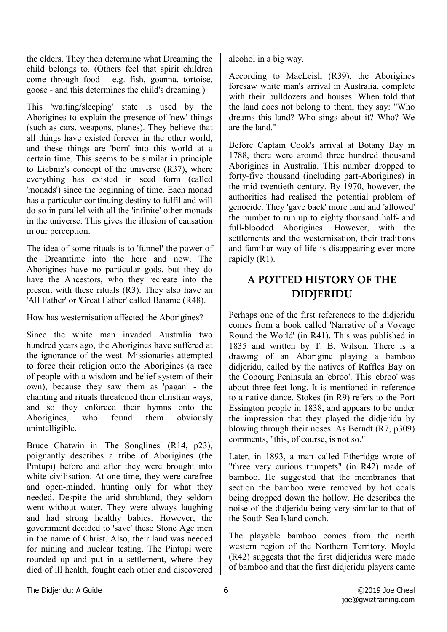the elders. They then determine what Dreaming the child belongs to. (Others feel that spirit children come through food - e.g. fish, goanna, tortoise, goose - and this determines the child's dreaming.)

This 'waiting/sleeping' state is used by the Aborigines to explain the presence of 'new' things (such as cars, weapons, planes). They believe that all things have existed forever in the other world, and these things are 'born' into this world at a certain time. This seems to be similar in principle to Liebniz's concept of the universe (R37), where everything has existed in seed form (called 'monads') since the beginning of time. Each monad has a particular continuing destiny to fulfil and will do so in parallel with all the 'infinite' other monads in the universe. This gives the illusion of causation in our perception.

The idea of some rituals is to 'funnel' the power of the Dreamtime into the here and now. The Aborigines have no particular gods, but they do have the Ancestors, who they recreate into the present with these rituals (R3). They also have an 'All Father' or 'Great Father' called Baiame (R48).

How has westernisation affected the Aborigines?

Since the white man invaded Australia two hundred years ago, the Aborigines have suffered at the ignorance of the west. Missionaries attempted to force their religion onto the Aborigines (a race of people with a wisdom and belief system of their own), because they saw them as 'pagan' - the chanting and rituals threatened their christian ways, and so they enforced their hymns onto the Aborigines, who found them obviously unintelligible.

Bruce Chatwin in 'The Songlines' (R14, p23), poignantly describes a tribe of Aborigines (the Pintupi) before and after they were brought into white civilisation. At one time, they were carefree and open-minded, hunting only for what they needed. Despite the arid shrubland, they seldom went without water. They were always laughing and had strong healthy babies. However, the government decided to 'save' these Stone Age men in the name of Christ. Also, their land was needed for mining and nuclear testing. The Pintupi were rounded up and put in a settlement, where they died of ill health, fought each other and discovered alcohol in a big way.

According to MacLeish (R39), the Aborigines foresaw white man's arrival in Australia, complete with their bulldozers and houses. When told that the land does not belong to them, they say: "Who dreams this land? Who sings about it? Who? We are the land."

Before Captain Cook's arrival at Botany Bay in 1788, there were around three hundred thousand Aborigines in Australia. This number dropped to forty-five thousand (including part-Aborigines) in the mid twentieth century. By 1970, however, the authorities had realised the potential problem of genocide. They 'gave back' more land and 'allowed' the number to run up to eighty thousand half- and full-blooded Aborigines. However, with the settlements and the westernisation, their traditions and familiar way of life is disappearing ever more rapidly (R1).

# **A POTTED HISTORY OF THE DIDJERIDU**

Perhaps one of the first references to the didjeridu comes from a book called 'Narrative of a Voyage Round the World' (in R41). This was published in 1835 and written by T. B. Wilson. There is a drawing of an Aborigine playing a bamboo didjeridu, called by the natives of Raffles Bay on the Cobourg Peninsula an 'ebroo'. This 'ebroo' was about three feet long. It is mentioned in reference to a native dance. Stokes (in R9) refers to the Port Essington people in 1838, and appears to be under the impression that they played the didjeridu by blowing through their noses. As Berndt (R7, p309) comments, "this, of course, is not so."

Later, in 1893, a man called Etheridge wrote of "three very curious trumpets" (in R42) made of bamboo. He suggested that the membranes that section the bamboo were removed by hot coals being dropped down the hollow. He describes the noise of the didjeridu being very similar to that of the South Sea Island conch.

The playable bamboo comes from the north western region of the Northern Territory. Moyle (R42) suggests that the first didjeridus were made of bamboo and that the first didjeridu players came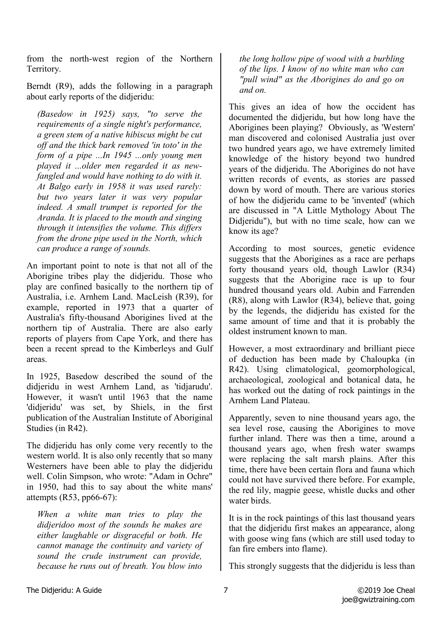from the north-west region of the Northern Territory.

Berndt (R9), adds the following in a paragraph about early reports of the didjeridu:

*(Basedow in 1925) says, "to serve the requirements of a single night's performance, a green stem of a native hibiscus might be cut off and the thick bark removed 'in toto' in the form of a pipe ...In 1945 ...only young men played it ...older men regarded it as newfangled and would have nothing to do with it. At Balgo early in 1958 it was used rarely: but two years later it was very popular indeed. A small trumpet is reported for the Aranda. It is placed to the mouth and singing through it intensifies the volume. This differs from the drone pipe used in the North, which can produce a range of sounds.*

An important point to note is that not all of the Aborigine tribes play the didjeridu. Those who play are confined basically to the northern tip of Australia, i.e. Arnhem Land. MacLeish (R39), for example, reported in 1973 that a quarter of Australia's fifty-thousand Aborigines lived at the northern tip of Australia. There are also early reports of players from Cape York, and there has been a recent spread to the Kimberleys and Gulf areas.

In 1925, Basedow described the sound of the didjeridu in west Arnhem Land, as 'tidjarudu'. However, it wasn't until 1963 that the name 'didjeridu' was set, by Shiels, in the first publication of the Australian Institute of Aboriginal Studies (in R42).

The didjeridu has only come very recently to the western world. It is also only recently that so many Westerners have been able to play the didjeridu well. Colin Simpson, who wrote: "Adam in Ochre" in 1950, had this to say about the white mans' attempts (R53, pp66-67):

*When a white man tries to play the didjeridoo most of the sounds he makes are either laughable or disgraceful or both. He cannot manage the continuity and variety of sound the crude instrument can provide, because he runs out of breath. You blow into* 

*the long hollow pipe of wood with a burbling of the lips. I know of no white man who can "pull wind" as the Aborigines do and go on and on.*

This gives an idea of how the occident has documented the didjeridu, but how long have the Aborigines been playing? Obviously, as 'Western' man discovered and colonised Australia just over two hundred years ago, we have extremely limited knowledge of the history beyond two hundred years of the didjeridu. The Aborigines do not have written records of events, as stories are passed down by word of mouth. There are various stories of how the didjeridu came to be 'invented' (which are discussed in "A Little Mythology About The Didjeridu"), but with no time scale, how can we know its age?

According to most sources, genetic evidence suggests that the Aborigines as a race are perhaps forty thousand years old, though Lawlor (R34) suggests that the Aborigine race is up to four hundred thousand years old. Aubin and Farrenden (R8), along with Lawlor (R34), believe that, going by the legends, the didjeridu has existed for the same amount of time and that it is probably the oldest instrument known to man.

However, a most extraordinary and brilliant piece of deduction has been made by Chaloupka (in R42). Using climatological, geomorphological, archaeological, zoological and botanical data, he has worked out the dating of rock paintings in the Arnhem Land Plateau.

Apparently, seven to nine thousand years ago, the sea level rose, causing the Aborigines to move further inland. There was then a time, around a thousand years ago, when fresh water swamps were replacing the salt marsh plains. After this time, there have been certain flora and fauna which could not have survived there before. For example, the red lily, magpie geese, whistle ducks and other water birds.

It is in the rock paintings of this last thousand years that the didjeridu first makes an appearance, along with goose wing fans (which are still used today to fan fire embers into flame).

This strongly suggests that the didjeridu is less than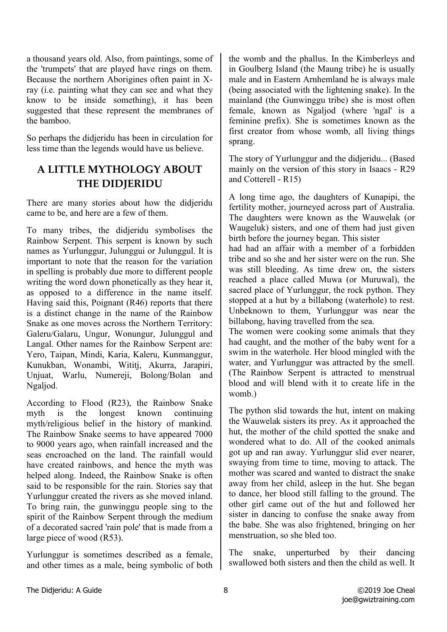a thousand years old. Also, from paintings, some of the 'trumpets' that are played have rings on them. Because the northern Aborigines often paint in Xray (i.e. painting what they can see and what they know to be inside something), it has been suggested that these represent the membranes of the bamboo.

So perhaps the didjeridu has been in circulation for less time than the legends would have us believe.

# **A LITTLE MYTHOLOGY ABOUT THE DIDJERIDU**

There are many stories about how the didjeridu came to be, and here are a few of them.

To many tribes, the didjeridu symbolises the Rainbow Serpent. This serpent is known by such names as Yurlunggur, Julunggui or Julunggul. It is important to note that the reason for the variation in spelling is probably due more to different people writing the word down phonetically as they hear it, as opposed to a difference in the name itself. Having said this, Poignant (R46) reports that there is a distinct change in the name of the Rainbow Snake as one moves across the Northern Territory: Galeru/Galaru, Ungur, Wonungur, Julunggul and Langal. Other names for the Rainbow Serpent are: Yero, Taipan, Mindi, Karia, Kaleru, Kunmanggur, Kunukban, Wonambi, Wititj, Akurra, Jarapiri, Unjuat, Warlu, Numereji, Bolong/Bolan and Ngaljod.

According to Flood (R23), the Rainbow Snake myth is the longest known continuing myth/religious belief in the history of mankind. The Rainbow Snake seems to have appeared 7000 to 9000 years ago, when rainfall increased and the seas encroached on the land. The rainfall would have created rainbows, and hence the myth was helped along. Indeed, the Rainbow Snake is often said to be responsible for the rain. Stories say that Yurlunggur created the rivers as she moved inland. To bring rain, the gunwinggu people sing to the spirit of the Rainbow Serpent through the medium of a decorated sacred 'rain pole' that is made from a large piece of wood (R53).

Yurlunggur is sometimes described as a female, and other times as a male, being symbolic of both

the womb and the phallus. In the Kimberleys and in Goulberg Island (the Maung tribe) he is usually male and in Eastern Arnhemland he is always male (being associated with the lightening snake). In the mainland (the Gunwinggu tribe) she is most often female, known as Ngaljod (where 'ngal' is a feminine prefix). She is sometimes known as the first creator from whose womb, all living things sprang.

The story of Yurlunggur and the didjeridu... (Based mainly on the version of this story in Isaacs - R29 and Cotterell - R15)

A long time ago, the daughters of Kunapipi, the fertility mother, journeyed across part of Australia. The daughters were known as the Wauwelak (or Waugeluk) sisters, and one of them had just given birth before the journey began. This sister

had had an affair with a member of a forbidden tribe and so she and her sister were on the run. She was still bleeding. As time drew on, the sisters reached a place called Muwa (or Muruwal), the sacred place of Yurlunggur, the rock python. They stopped at a hut by a billabong (waterhole) to rest. Unbeknown to them, Yurlunggur was near the billabong, having travelled from the sea.

The women were cooking some animals that they had caught, and the mother of the baby went for a swim in the waterhole. Her blood mingled with the water, and Yurlunggur was attracted by the smell. (The Rainbow Serpent is attracted to menstrual blood and will blend with it to create life in the womb.)

The python slid towards the hut, intent on making the Wauwelak sisters its prey. As it approached the hut, the mother of the child spotted the snake and wondered what to do. All of the cooked animals got up and ran away. Yurlunggur slid ever nearer, swaying from time to time, moving to attack. The mother was scared and wanted to distract the snake away from her child, asleep in the hut. She began to dance, her blood still falling to the ground. The other girl came out of the hut and followed her sister in dancing to confuse the snake away from the babe. She was also frightened, bringing on her menstruation, so she bled too.

The snake, unperturbed by their dancing swallowed both sisters and then the child as well. It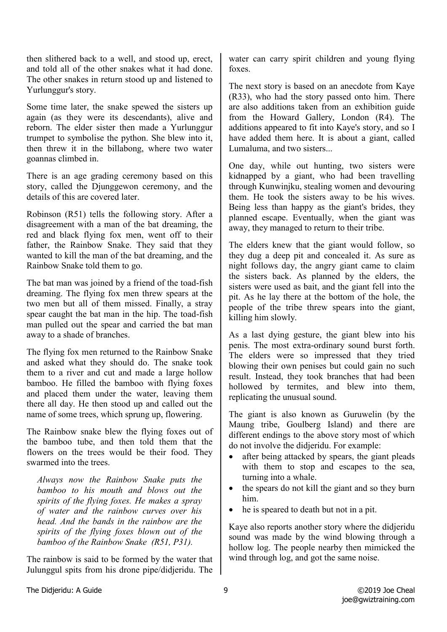then slithered back to a well, and stood up, erect, and told all of the other snakes what it had done. The other snakes in return stood up and listened to Yurlunggur's story.

Some time later, the snake spewed the sisters up again (as they were its descendants), alive and reborn. The elder sister then made a Yurlunggur trumpet to symbolise the python. She blew into it, then threw it in the billabong, where two water goannas climbed in.

There is an age grading ceremony based on this story, called the Djunggewon ceremony, and the details of this are covered later.

Robinson (R51) tells the following story. After a disagreement with a man of the bat dreaming, the red and black flying fox men, went off to their father, the Rainbow Snake. They said that they wanted to kill the man of the bat dreaming, and the Rainbow Snake told them to go.

The bat man was joined by a friend of the toad-fish dreaming. The flying fox men threw spears at the two men but all of them missed. Finally, a stray spear caught the bat man in the hip. The toad-fish man pulled out the spear and carried the bat man away to a shade of branches.

The flying fox men returned to the Rainbow Snake and asked what they should do. The snake took them to a river and cut and made a large hollow bamboo. He filled the bamboo with flying foxes and placed them under the water, leaving them there all day. He then stood up and called out the name of some trees, which sprung up, flowering.

The Rainbow snake blew the flying foxes out of the bamboo tube, and then told them that the flowers on the trees would be their food. They swarmed into the trees.

*Always now the Rainbow Snake puts the bamboo to his mouth and blows out the spirits of the flying foxes. He makes a spray of water and the rainbow curves over his head. And the bands in the rainbow are the spirits of the flying foxes blown out of the bamboo of the Rainbow Snake (R51, P31).*

The rainbow is said to be formed by the water that Julunggul spits from his drone pipe/didjeridu. The water can carry spirit children and young flying foxes.

The next story is based on an anecdote from Kaye (R33), who had the story passed onto him. There are also additions taken from an exhibition guide from the Howard Gallery, London (R4). The additions appeared to fit into Kaye's story, and so I have added them here. It is about a giant, called Lumaluma, and two sisters...

One day, while out hunting, two sisters were kidnapped by a giant, who had been travelling through Kunwinjku, stealing women and devouring them. He took the sisters away to be his wives. Being less than happy as the giant's brides, they planned escape. Eventually, when the giant was away, they managed to return to their tribe.

The elders knew that the giant would follow, so they dug a deep pit and concealed it. As sure as night follows day, the angry giant came to claim the sisters back. As planned by the elders, the sisters were used as bait, and the giant fell into the pit. As he lay there at the bottom of the hole, the people of the tribe threw spears into the giant, killing him slowly.

As a last dying gesture, the giant blew into his penis. The most extra-ordinary sound burst forth. The elders were so impressed that they tried blowing their own penises but could gain no such result. Instead, they took branches that had been hollowed by termites, and blew into them, replicating the unusual sound.

The giant is also known as Guruwelin (by the Maung tribe, Goulberg Island) and there are different endings to the above story most of which do not involve the didjeridu. For example:

- after being attacked by spears, the giant pleads with them to stop and escapes to the sea, turning into a whale.
- the spears do not kill the giant and so they burn him.
- he is speared to death but not in a pit.

Kaye also reports another story where the didjeridu sound was made by the wind blowing through a hollow log. The people nearby then mimicked the wind through log, and got the same noise.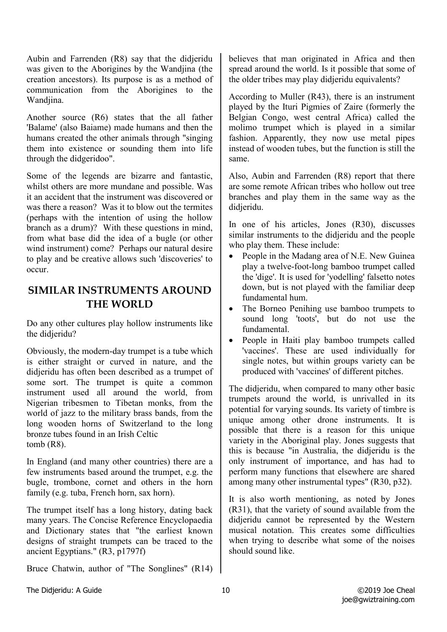Aubin and Farrenden (R8) say that the didjeridu was given to the Aborigines by the Wandjina (the creation ancestors). Its purpose is as a method of communication from the Aborigines to the Wandjina.

Another source (R6) states that the all father 'Balame' (also Baiame) made humans and then the humans created the other animals through "singing them into existence or sounding them into life through the didgeridoo".

Some of the legends are bizarre and fantastic, whilst others are more mundane and possible. Was it an accident that the instrument was discovered or was there a reason? Was it to blow out the termites (perhaps with the intention of using the hollow branch as a drum)? With these questions in mind, from what base did the idea of a bugle (or other wind instrument) come? Perhaps our natural desire to play and be creative allows such 'discoveries' to occur.

# **SIMILAR INSTRUMENTS AROUND THE WORLD**

Do any other cultures play hollow instruments like the didjeridu?

Obviously, the modern-day trumpet is a tube which is either straight or curved in nature, and the didjeridu has often been described as a trumpet of some sort. The trumpet is quite a common instrument used all around the world, from Nigerian tribesmen to Tibetan monks, from the world of jazz to the military brass bands, from the long wooden horns of Switzerland to the long bronze tubes found in an Irish Celtic tomb (R8).

In England (and many other countries) there are a few instruments based around the trumpet, e.g. the bugle, trombone, cornet and others in the horn family (e.g. tuba, French horn, sax horn).

The trumpet itself has a long history, dating back many years. The Concise Reference Encyclopaedia and Dictionary states that "the earliest known designs of straight trumpets can be traced to the ancient Egyptians." (R3, p1797f)

Bruce Chatwin, author of "The Songlines" (R14)

believes that man originated in Africa and then spread around the world. Is it possible that some of the older tribes may play didjeridu equivalents?

According to Muller (R43), there is an instrument played by the Ituri Pigmies of Zaire (formerly the Belgian Congo, west central Africa) called the molimo trumpet which is played in a similar fashion. Apparently, they now use metal pipes instead of wooden tubes, but the function is still the same.

Also, Aubin and Farrenden (R8) report that there are some remote African tribes who hollow out tree branches and play them in the same way as the didjeridu.

In one of his articles, Jones (R30), discusses similar instruments to the didjeridu and the people who play them. These include:

- People in the Madang area of N.E. New Guinea play a twelve-foot-long bamboo trumpet called the 'dige'. It is used for 'yodelling' falsetto notes down, but is not played with the familiar deep fundamental hum.
- The Borneo Penihing use bamboo trumpets to sound long 'toots', but do not use the fundamental.
- People in Haiti play bamboo trumpets called 'vaccines'. These are used individually for single notes, but within groups variety can be produced with 'vaccines' of different pitches.

The didjeridu, when compared to many other basic trumpets around the world, is unrivalled in its potential for varying sounds. Its variety of timbre is unique among other drone instruments. It is possible that there is a reason for this unique variety in the Aboriginal play. Jones suggests that this is because "in Australia, the didjeridu is the only instrument of importance, and has had to perform many functions that elsewhere are shared among many other instrumental types" (R30, p32).

It is also worth mentioning, as noted by Jones (R31), that the variety of sound available from the didjeridu cannot be represented by the Western musical notation. This creates some difficulties when trying to describe what some of the noises should sound like.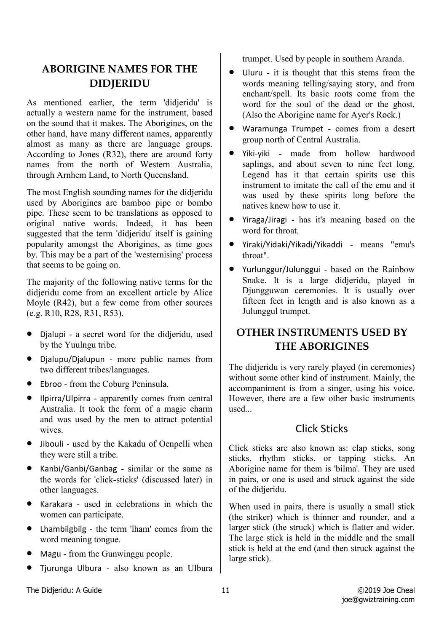# **ABORIGINE NAMES FOR THE DIDJERIDU**

As mentioned earlier, the term 'didjeridu' is actually a western name for the instrument, based on the sound that it makes. The Aborigines, on the other hand, have many different names, apparently almost as many as there are language groups. According to Jones (R32), there are around forty names from the north of Western Australia, through Arnhem Land, to North Queensland.

The most English sounding names for the didjeridu used by Aborigines are bamboo pipe or bombo pipe. These seem to be translations as opposed to original native words. Indeed, it has been suggested that the term 'didjeridu' itself is gaining popularity amongst the Aborigines, as time goes by. This may be a part of the 'westernising' process that seems to be going on.

The majority of the following native terms for the didjeridu come from an excellent article by Alice Moyle (R42), but a few come from other sources (e.g. R10, R28, R31, R53).

- Djalupi a secret word for the didjeridu, used by the Yuulngu tribe.
- Djalupu/Djalupun more public names from two different tribes/languages.
- Ebroo from the Coburg Peninsula.
- Ilpirra/Ulpirra apparently comes from central Australia. It took the form of a magic charm and was used by the men to attract potential wives.
- Jibouli used by the Kakadu of Oenpelli when they were still a tribe.
- Kanbi/Ganbi/Ganbag similar or the same as the words for 'click-sticks' (discussed later) in other languages.
- Karakara used in celebrations in which the women can participate.
- Lhambilgbilg the term 'lham' comes from the word meaning tongue.
- Magu from the Gunwinggu people.
- Tjurunga Ulbura also known as an Ulbura

trumpet. Used by people in southern Aranda.

- Uluru it is thought that this stems from the words meaning telling/saying story, and from enchant/spell. Its basic roots come from the word for the soul of the dead or the ghost. (Also the Aborigine name for Ayer's Rock.)
- Waramunga Trumpet comes from a desert group north of Central Australia.
- Yiki-yiki made from hollow hardwood saplings, and about seven to nine feet long. Legend has it that certain spirits use this instrument to imitate the call of the emu and it was used by these spirits long before the natives knew how to use it.
- Yiraga/Jiragi has it's meaning based on the word for throat.
- Yiraki/Yidaki/Yikadi/Yikaddi means "emu's throat".
- Yurlunggur/Julunggui based on the Rainbow Snake. It is a large didjeridu, played in Djungguwan ceremonies. It is usually over fifteen feet in length and is also known as a Julunggul trumpet.

# **OTHER INSTRUMENTS USED BY THE ABORIGINES**

The didjeridu is very rarely played (in ceremonies) without some other kind of instrument. Mainly, the accompaniment is from a singer, using his voice. However, there are a few other basic instruments used...

# Click Sticks

Click sticks are also known as: clap sticks, song sticks, rhythm sticks, or tapping sticks. An Aborigine name for them is 'bilma'. They are used in pairs, or one is used and struck against the side of the didjeridu.

When used in pairs, there is usually a small stick (the striker) which is thinner and rounder, and a larger stick (the struck) which is flatter and wider. The large stick is held in the middle and the small stick is held at the end (and then struck against the large stick).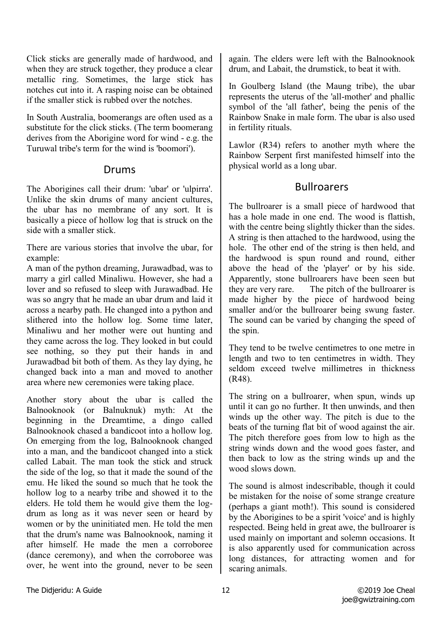Click sticks are generally made of hardwood, and when they are struck together, they produce a clear metallic ring. Sometimes, the large stick has notches cut into it. A rasping noise can be obtained if the smaller stick is rubbed over the notches.

In South Australia, boomerangs are often used as a substitute for the click sticks. (The term boomerang derives from the Aborigine word for wind - e.g. the Turuwal tribe's term for the wind is 'boomori').

#### Drums

The Aborigines call their drum: 'ubar' or 'ulpirra'. Unlike the skin drums of many ancient cultures, the ubar has no membrane of any sort. It is basically a piece of hollow log that is struck on the side with a smaller stick.

There are various stories that involve the ubar, for example:

A man of the python dreaming, Jurawadbad, was to marry a girl called Minaliwu. However, she had a lover and so refused to sleep with Jurawadbad. He was so angry that he made an ubar drum and laid it across a nearby path. He changed into a python and slithered into the hollow log. Some time later, Minaliwu and her mother were out hunting and they came across the log. They looked in but could see nothing, so they put their hands in and Jurawadbad bit both of them. As they lay dying, he changed back into a man and moved to another area where new ceremonies were taking place.

Another story about the ubar is called the Balnooknook (or Balnuknuk) myth: At the beginning in the Dreamtime, a dingo called Balnooknook chased a bandicoot into a hollow log. On emerging from the log, Balnooknook changed into a man, and the bandicoot changed into a stick called Labait. The man took the stick and struck the side of the log, so that it made the sound of the emu. He liked the sound so much that he took the hollow log to a nearby tribe and showed it to the elders. He told them he would give them the logdrum as long as it was never seen or heard by women or by the uninitiated men. He told the men that the drum's name was Balnooknook, naming it after himself. He made the men a corroboree (dance ceremony), and when the corroboree was over, he went into the ground, never to be seen again. The elders were left with the Balnooknook drum, and Labait, the drumstick, to beat it with.

In Goulberg Island (the Maung tribe), the ubar represents the uterus of the 'all-mother' and phallic symbol of the 'all father', being the penis of the Rainbow Snake in male form. The ubar is also used in fertility rituals.

Lawlor (R34) refers to another myth where the Rainbow Serpent first manifested himself into the physical world as a long ubar.

# Bullroarers

The bullroarer is a small piece of hardwood that has a hole made in one end. The wood is flattish, with the centre being slightly thicker than the sides. A string is then attached to the hardwood, using the hole. The other end of the string is then held, and the hardwood is spun round and round, either above the head of the 'player' or by his side. Apparently, stone bullroarers have been seen but they are very rare. The pitch of the bullroarer is made higher by the piece of hardwood being smaller and/or the bullroarer being swung faster. The sound can be varied by changing the speed of the spin.

They tend to be twelve centimetres to one metre in length and two to ten centimetres in width. They seldom exceed twelve millimetres in thickness (R48).

The string on a bullroarer, when spun, winds up until it can go no further. It then unwinds, and then winds up the other way. The pitch is due to the beats of the turning flat bit of wood against the air. The pitch therefore goes from low to high as the string winds down and the wood goes faster, and then back to low as the string winds up and the wood slows down.

The sound is almost indescribable, though it could be mistaken for the noise of some strange creature (perhaps a giant moth!). This sound is considered by the Aborigines to be a spirit 'voice' and is highly respected. Being held in great awe, the bullroarer is used mainly on important and solemn occasions. It is also apparently used for communication across long distances, for attracting women and for scaring animals.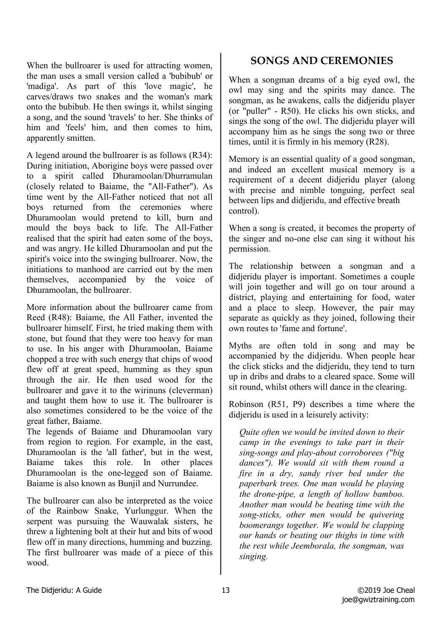When the bullroarer is used for attracting women, the man uses a small version called a 'bubibub' or 'madiga'. As part of this 'love magic', he carves/draws two snakes and the woman's mark onto the bubibub. He then swings it, whilst singing a song, and the sound 'travels' to her. She thinks of him and 'feels' him, and then comes to him, apparently smitten.

A legend around the bullroarer is as follows (R34): During initiation, Aborigine boys were passed over to a spirit called Dhuramoolan/Dhurramulan (closely related to Baiame, the "All-Father"). As time went by the All-Father noticed that not all boys returned from the ceremonies where Dhuramoolan would pretend to kill, burn and mould the boys back to life. The All-Father realised that the spirit had eaten some of the boys, and was angry. He killed Dhuramoolan and put the spirit's voice into the swinging bullroarer. Now, the initiations to manhood are carried out by the men themselves, accompanied by the voice of Dhuramoolan, the bullroarer.

More information about the bullroarer came from Reed (R48): Baiame, the All Father, invented the bullroarer himself. First, he tried making them with stone, but found that they were too heavy for man to use. In his anger with Dhuramoolan, Baiame chopped a tree with such energy that chips of wood flew off at great speed, humming as they spun through the air. He then used wood for the bullroarer and gave it to the wirinuns (cleverman) and taught them how to use it. The bullroarer is also sometimes considered to be the voice of the great father, Baiame.

The legends of Baiame and Dhuramoolan vary from region to region. For example, in the east, Dhuramoolan is the 'all father', but in the west, Baiame takes this role. In other places Dhuramoolan is the one-legged son of Baiame. Baiame is also known as Bunjil and Nurrundee.

The bullroarer can also be interpreted as the voice of the Rainbow Snake, Yurlunggur. When the serpent was pursuing the Wauwalak sisters, he threw a lightening bolt at their hut and bits of wood flew off in many directions, humming and buzzing. The first bullroarer was made of a piece of this wood.

# **SONGS AND CEREMONIES**

When a songman dreams of a big eyed owl, the owl may sing and the spirits may dance. The songman, as he awakens, calls the didjeridu player (or "puller" - R50). He clicks his own sticks, and sings the song of the owl. The didjeridu player will accompany him as he sings the song two or three times, until it is firmly in his memory (R28).

Memory is an essential quality of a good songman, and indeed an excellent musical memory is a requirement of a decent didjeridu player (along with precise and nimble tonguing, perfect seal between lips and didjeridu, and effective breath control).

When a song is created, it becomes the property of the singer and no-one else can sing it without his permission.

The relationship between a songman and a didjeridu player is important. Sometimes a couple will join together and will go on tour around a district, playing and entertaining for food, water and a place to sleep. However, the pair may separate as quickly as they joined, following their own routes to 'fame and fortune'.

Myths are often told in song and may be accompanied by the didjeridu. When people hear the click sticks and the didjeridu, they tend to turn up in dribs and drabs to a cleared space. Some will sit round, whilst others will dance in the clearing.

Robinson (R51, P9) describes a time where the didjeridu is used in a leisurely activity:

*Quite often we would be invited down to their camp in the evenings to take part in their sing-songs and play-about corroborees ("big dances"). We would sit with them round a fire in a dry, sandy river bed under the paperbark trees. One man would be playing the drone-pipe, a length of hollow bamboo. Another man would be beating time with the song-sticks, other men would be quivering boomerangs together. We would be clapping our hands or beating our thighs in time with the rest while Jeemborala, the songman, was singing.*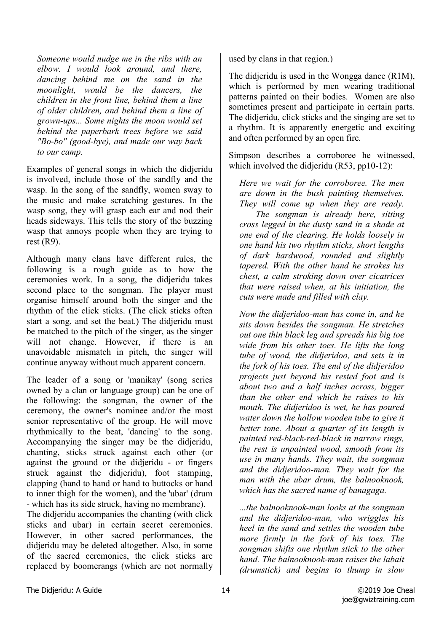*Someone would nudge me in the ribs with an elbow. I would look around, and there, dancing behind me on the sand in the moonlight, would be the dancers, the children in the front line, behind them a line of older children, and behind them a line of grown-ups... Some nights the moon would set behind the paperbark trees before we said "Bo-bo" (good-bye), and made our way back to our camp.*

Examples of general songs in which the didjeridu is involved, include those of the sandfly and the wasp. In the song of the sandfly, women sway to the music and make scratching gestures. In the wasp song, they will grasp each ear and nod their heads sideways. This tells the story of the buzzing wasp that annoys people when they are trying to rest (R9).

Although many clans have different rules, the following is a rough guide as to how the ceremonies work. In a song, the didjeridu takes second place to the songman. The player must organise himself around both the singer and the rhythm of the click sticks. (The click sticks often start a song, and set the beat.) The didjeridu must be matched to the pitch of the singer, as the singer will not change. However, if there is an unavoidable mismatch in pitch, the singer will continue anyway without much apparent concern.

The leader of a song or 'manikay' (song series owned by a clan or language group) can be one of the following: the songman, the owner of the ceremony, the owner's nominee and/or the most senior representative of the group. He will move rhythmically to the beat, 'dancing' to the song. Accompanying the singer may be the didjeridu, chanting, sticks struck against each other (or against the ground or the didjeridu - or fingers struck against the didjeridu), foot stamping, clapping (hand to hand or hand to buttocks or hand to inner thigh for the women), and the 'ubar' (drum - which has its side struck, having no membrane).

The didjeridu accompanies the chanting (with click sticks and ubar) in certain secret ceremonies. However, in other sacred performances, the didjeridu may be deleted altogether. Also, in some of the sacred ceremonies, the click sticks are replaced by boomerangs (which are not normally used by clans in that region.)

The didjeridu is used in the Wongga dance (R1M), which is performed by men wearing traditional patterns painted on their bodies. Women are also sometimes present and participate in certain parts. The didjeridu, click sticks and the singing are set to a rhythm. It is apparently energetic and exciting and often performed by an open fire.

Simpson describes a corroboree he witnessed, which involved the didjeridu (R53, pp10-12):

*Here we wait for the corroboree. The men are down in the bush painting themselves. They will come up when they are ready.*

*The songman is already here, sitting cross legged in the dusty sand in a shade at one end of the clearing. He holds loosely in one hand his two rhythm sticks, short lengths of dark hardwood, rounded and slightly tapered. With the other hand he strokes his chest, a calm stroking down over cicatrices that were raised when, at his initiation, the cuts were made and filled with clay.*

*Now the didjeridoo-man has come in, and he sits down besides the songman. He stretches out one thin black leg and spreads his big toe wide from his other toes. He lifts the long tube of wood, the didjeridoo, and sets it in the fork of his toes. The end of the didjeridoo projects just beyond his rested foot and is about two and a half inches across, bigger than the other end which he raises to his mouth. The didjeridoo is wet, he has poured water down the hollow wooden tube to give it better tone. About a quarter of its length is painted red-black-red-black in narrow rings, the rest is unpainted wood, smooth from its use in many hands. They wait, the songman and the didjeridoo-man. They wait for the man with the ubar drum, the balnooknook, which has the sacred name of banagaga.*

*...the balnooknook-man looks at the songman and the didjeridoo-man, who wriggles his heel in the sand and settles the wooden tube more firmly in the fork of his toes. The songman shifts one rhythm stick to the other hand. The balnooknook-man raises the labait (drumstick) and begins to thump in slow*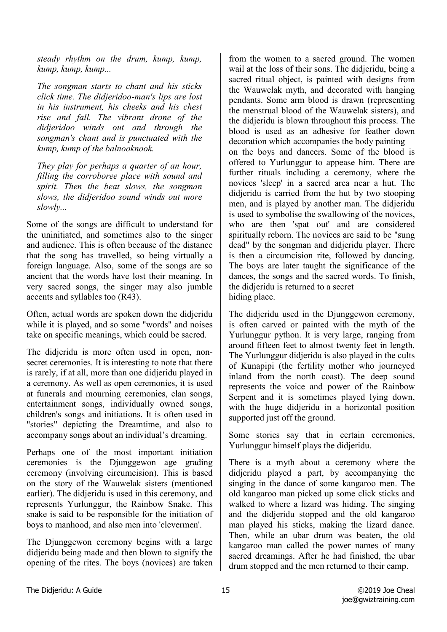*steady rhythm on the drum, kump, kump, kump, kump, kump...*

*The songman starts to chant and his sticks click time. The didjeridoo-man's lips are lost in his instrument, his cheeks and his chest rise and fall. The vibrant drone of the didjeridoo winds out and through the songman's chant and is punctuated with the kump, kump of the balnooknook.*

*They play for perhaps a quarter of an hour, filling the corroboree place with sound and spirit. Then the beat slows, the songman slows, the didjeridoo sound winds out more slowly...*

Some of the songs are difficult to understand for the uninitiated, and sometimes also to the singer and audience. This is often because of the distance that the song has travelled, so being virtually a foreign language. Also, some of the songs are so ancient that the words have lost their meaning. In very sacred songs, the singer may also jumble accents and syllables too (R43).

Often, actual words are spoken down the didjeridu while it is played, and so some "words" and noises take on specific meanings, which could be sacred.

The didjeridu is more often used in open, nonsecret ceremonies. It is interesting to note that there is rarely, if at all, more than one didjeridu played in a ceremony. As well as open ceremonies, it is used at funerals and mourning ceremonies, clan songs, entertainment songs, individually owned songs, children's songs and initiations. It is often used in "stories" depicting the Dreamtime, and also to accompany songs about an individual's dreaming.

Perhaps one of the most important initiation ceremonies is the Djunggewon age grading ceremony (involving circumcision). This is based on the story of the Wauwelak sisters (mentioned earlier). The didjeridu is used in this ceremony, and represents Yurlunggur, the Rainbow Snake. This snake is said to be responsible for the initiation of boys to manhood, and also men into 'clevermen'.

The Djunggewon ceremony begins with a large didjeridu being made and then blown to signify the opening of the rites. The boys (novices) are taken

from the women to a sacred ground. The women wail at the loss of their sons. The didjeridu, being a sacred ritual object, is painted with designs from the Wauwelak myth, and decorated with hanging pendants. Some arm blood is drawn (representing the menstrual blood of the Wauwelak sisters), and the didjeridu is blown throughout this process. The blood is used as an adhesive for feather down decoration which accompanies the body painting on the boys and dancers. Some of the blood is offered to Yurlunggur to appease him. There are further rituals including a ceremony, where the novices 'sleep' in a sacred area near a hut. The didjeridu is carried from the hut by two stooping men, and is played by another man. The didjeridu is used to symbolise the swallowing of the novices, who are then 'spat out' and are considered spiritually reborn. The novices are said to be "sung dead" by the songman and didjeridu player. There is then a circumcision rite, followed by dancing. The boys are later taught the significance of the dances, the songs and the sacred words. To finish, the didjeridu is returned to a secret hiding place.

The didjeridu used in the Djunggewon ceremony, is often carved or painted with the myth of the Yurlunggur python. It is very large, ranging from around fifteen feet to almost twenty feet in length. The Yurlunggur didjeridu is also played in the cults of Kunapipi (the fertility mother who journeyed inland from the north coast). The deep sound represents the voice and power of the Rainbow Serpent and it is sometimes played lying down, with the huge didjeridu in a horizontal position supported just off the ground.

Some stories say that in certain ceremonies, Yurlunggur himself plays the didjeridu.

There is a myth about a ceremony where the didjeridu played a part, by accompanying the singing in the dance of some kangaroo men. The old kangaroo man picked up some click sticks and walked to where a lizard was hiding. The singing and the didjeridu stopped and the old kangaroo man played his sticks, making the lizard dance. Then, while an ubar drum was beaten, the old kangaroo man called the power names of many sacred dreamings. After he had finished, the ubar drum stopped and the men returned to their camp.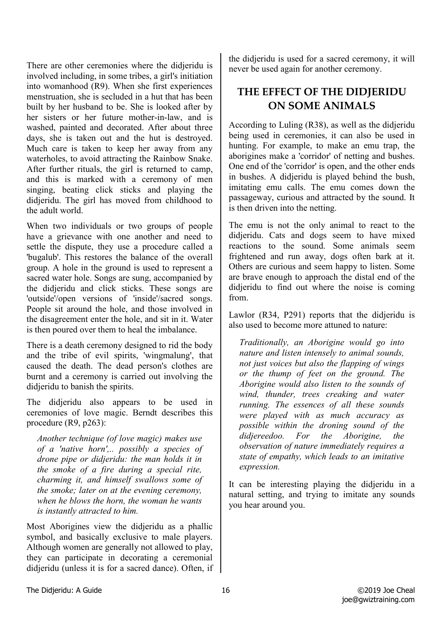There are other ceremonies where the didjeridu is involved including, in some tribes, a girl's initiation into womanhood (R9). When she first experiences menstruation, she is secluded in a hut that has been built by her husband to be. She is looked after by her sisters or her future mother-in-law, and is washed, painted and decorated. After about three days, she is taken out and the hut is destroyed. Much care is taken to keep her away from any waterholes, to avoid attracting the Rainbow Snake. After further rituals, the girl is returned to camp, and this is marked with a ceremony of men singing, beating click sticks and playing the didjeridu. The girl has moved from childhood to the adult world.

When two individuals or two groups of people have a grievance with one another and need to settle the dispute, they use a procedure called a 'bugalub'. This restores the balance of the overall group. A hole in the ground is used to represent a sacred water hole. Songs are sung, accompanied by the didjeridu and click sticks. These songs are 'outside'/open versions of 'inside'/sacred songs. People sit around the hole, and those involved in the disagreement enter the hole, and sit in it. Water is then poured over them to heal the imbalance.

There is a death ceremony designed to rid the body and the tribe of evil spirits, 'wingmalung', that caused the death. The dead person's clothes are burnt and a ceremony is carried out involving the didjeridu to banish the spirits.

The didjeridu also appears to be used in ceremonies of love magic. Berndt describes this procedure (R9, p263):

*Another technique (of love magic) makes use of a 'native horn',.. possibly a species of drone pipe or didjeridu: the man holds it in the smoke of a fire during a special rite, charming it, and himself swallows some of the smoke; later on at the evening ceremony, when he blows the horn, the woman he wants is instantly attracted to him.*

Most Aborigines view the didjeridu as a phallic symbol, and basically exclusive to male players. Although women are generally not allowed to play, they can participate in decorating a ceremonial didjeridu (unless it is for a sacred dance). Often, if the didjeridu is used for a sacred ceremony, it will never be used again for another ceremony.

# **THE EFFECT OF THE DIDJERIDU ON SOME ANIMALS**

According to Luling (R38), as well as the didjeridu being used in ceremonies, it can also be used in hunting. For example, to make an emu trap, the aborigines make a 'corridor' of netting and bushes. One end of the 'corridor' is open, and the other ends in bushes. A didjeridu is played behind the bush, imitating emu calls. The emu comes down the passageway, curious and attracted by the sound. It is then driven into the netting.

The emu is not the only animal to react to the didjeridu. Cats and dogs seem to have mixed reactions to the sound. Some animals seem frightened and run away, dogs often bark at it. Others are curious and seem happy to listen. Some are brave enough to approach the distal end of the didjeridu to find out where the noise is coming from.

Lawlor (R34, P291) reports that the didjeridu is also used to become more attuned to nature:

*Traditionally, an Aborigine would go into nature and listen intensely to animal sounds, not just voices but also the flapping of wings or the thump of feet on the ground. The Aborigine would also listen to the sounds of wind, thunder, trees creaking and water running. The essences of all these sounds were played with as much accuracy as possible within the droning sound of the didjereedoo. For the Aborigine, the observation of nature immediately requires a state of empathy, which leads to an imitative expression.*

It can be interesting playing the didjeridu in a natural setting, and trying to imitate any sounds you hear around you.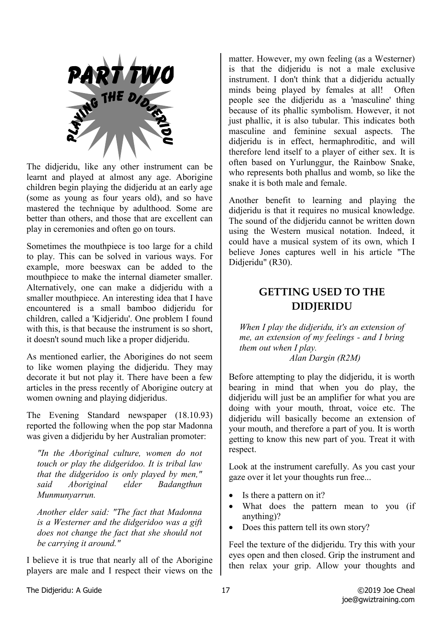

The didjeridu, like any other instrument can be learnt and played at almost any age. Aborigine children begin playing the didjeridu at an early age (some as young as four years old), and so have mastered the technique by adulthood. Some are better than others, and those that are excellent can play in ceremonies and often go on tours.

Sometimes the mouthpiece is too large for a child to play. This can be solved in various ways. For example, more beeswax can be added to the mouthpiece to make the internal diameter smaller. Alternatively, one can make a didjeridu with a smaller mouthpiece. An interesting idea that I have encountered is a small bamboo didjeridu for children, called a 'Kidjeridu'. One problem I found with this, is that because the instrument is so short, it doesn't sound much like a proper didjeridu.

As mentioned earlier, the Aborigines do not seem to like women playing the didjeridu. They may decorate it but not play it. There have been a few articles in the press recently of Aborigine outcry at women owning and playing didjeridus.

The Evening Standard newspaper (18.10.93) reported the following when the pop star Madonna was given a didjeridu by her Australian promoter:

*"In the Aboriginal culture, women do not touch or play the didgeridoo. It is tribal law that the didgeridoo is only played by men," said Aboriginal elder Badangthun Munmunyarrun.*

*Another elder said: "The fact that Madonna is a Westerner and the didgeridoo was a gift does not change the fact that she should not be carrying it around."*

I believe it is true that nearly all of the Aborigine players are male and I respect their views on the matter. However, my own feeling (as a Westerner) is that the didjeridu is not a male exclusive instrument. I don't think that a didjeridu actually minds being played by females at all! Often people see the didjeridu as a 'masculine' thing because of its phallic symbolism. However, it not just phallic, it is also tubular. This indicates both masculine and feminine sexual aspects. The didjeridu is in effect, hermaphroditic, and will therefore lend itself to a player of either sex. It is often based on Yurlunggur, the Rainbow Snake, who represents both phallus and womb, so like the snake it is both male and female.

Another benefit to learning and playing the didjeridu is that it requires no musical knowledge. The sound of the didjeridu cannot be written down using the Western musical notation. Indeed, it could have a musical system of its own, which I believe Jones captures well in his article "The Didjeridu" (R30).

# **GETTING USED TO THE DIDJERIDU**

*When I play the didjeridu, it's an extension of me, an extension of my feelings - and I bring them out when I play. Alan Dargin (R2M)*

Before attempting to play the didjeridu, it is worth bearing in mind that when you do play, the didjeridu will just be an amplifier for what you are doing with your mouth, throat, voice etc. The didjeridu will basically become an extension of your mouth, and therefore a part of you. It is worth getting to know this new part of you. Treat it with respect.

Look at the instrument carefully. As you cast your gaze over it let your thoughts run free...

- Is there a pattern on it?
- What does the pattern mean to you (if anything)?
- Does this pattern tell its own story?

Feel the texture of the didjeridu. Try this with your eyes open and then closed. Grip the instrument and then relax your grip. Allow your thoughts and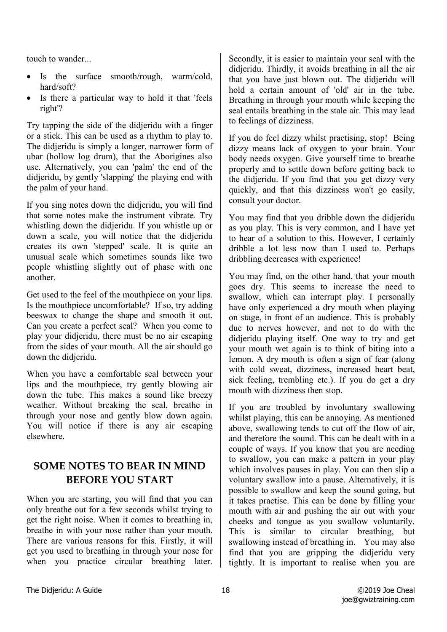touch to wander...

- Is the surface smooth/rough, warm/cold, hard/soft?
- Is there a particular way to hold it that 'feels right'?

Try tapping the side of the didjeridu with a finger or a stick. This can be used as a rhythm to play to. The didjeridu is simply a longer, narrower form of ubar (hollow log drum), that the Aborigines also use. Alternatively, you can 'palm' the end of the didjeridu, by gently 'slapping' the playing end with the palm of your hand.

If you sing notes down the didjeridu, you will find that some notes make the instrument vibrate. Try whistling down the didjeridu. If you whistle up or down a scale, you will notice that the didjeridu creates its own 'stepped' scale. It is quite an unusual scale which sometimes sounds like two people whistling slightly out of phase with one another.

Get used to the feel of the mouthpiece on your lips. Is the mouthpiece uncomfortable? If so, try adding beeswax to change the shape and smooth it out. Can you create a perfect seal? When you come to play your didjeridu, there must be no air escaping from the sides of your mouth. All the air should go down the didjeridu.

When you have a comfortable seal between your lips and the mouthpiece, try gently blowing air down the tube. This makes a sound like breezy weather. Without breaking the seal, breathe in through your nose and gently blow down again. You will notice if there is any air escaping elsewhere.

# **SOME NOTES TO BEAR IN MIND BEFORE YOU START**

When you are starting, you will find that you can only breathe out for a few seconds whilst trying to get the right noise. When it comes to breathing in, breathe in with your nose rather than your mouth. There are various reasons for this. Firstly, it will get you used to breathing in through your nose for when you practice circular breathing later.

Secondly, it is easier to maintain your seal with the didjeridu. Thirdly, it avoids breathing in all the air that you have just blown out. The didjeridu will hold a certain amount of 'old' air in the tube. Breathing in through your mouth while keeping the seal entails breathing in the stale air. This may lead to feelings of dizziness.

If you do feel dizzy whilst practising, stop! Being dizzy means lack of oxygen to your brain. Your body needs oxygen. Give yourself time to breathe properly and to settle down before getting back to the didjeridu. If you find that you get dizzy very quickly, and that this dizziness won't go easily, consult your doctor.

You may find that you dribble down the didjeridu as you play. This is very common, and I have yet to hear of a solution to this. However, I certainly dribble a lot less now than I used to. Perhaps dribbling decreases with experience!

You may find, on the other hand, that your mouth goes dry. This seems to increase the need to swallow, which can interrupt play. I personally have only experienced a dry mouth when playing on stage, in front of an audience. This is probably due to nerves however, and not to do with the didjeridu playing itself. One way to try and get your mouth wet again is to think of biting into a lemon. A dry mouth is often a sign of fear (along with cold sweat, dizziness, increased heart beat, sick feeling, trembling etc.). If you do get a dry mouth with dizziness then stop.

If you are troubled by involuntary swallowing whilst playing, this can be annoying. As mentioned above, swallowing tends to cut off the flow of air, and therefore the sound. This can be dealt with in a couple of ways. If you know that you are needing to swallow, you can make a pattern in your play which involves pauses in play. You can then slip a voluntary swallow into a pause. Alternatively, it is possible to swallow and keep the sound going, but it takes practise. This can be done by filling your mouth with air and pushing the air out with your cheeks and tongue as you swallow voluntarily. This is similar to circular breathing, but swallowing instead of breathing in. You may also find that you are gripping the didjeridu very tightly. It is important to realise when you are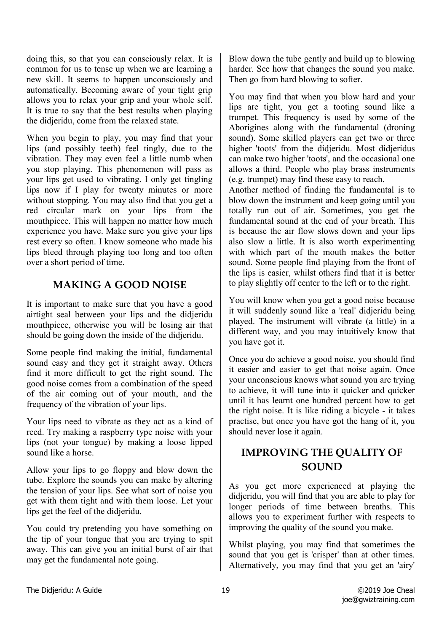doing this, so that you can consciously relax. It is common for us to tense up when we are learning a new skill. It seems to happen unconsciously and automatically. Becoming aware of your tight grip allows you to relax your grip and your whole self. It is true to say that the best results when playing the didjeridu, come from the relaxed state.

When you begin to play, you may find that your lips (and possibly teeth) feel tingly, due to the vibration. They may even feel a little numb when you stop playing. This phenomenon will pass as your lips get used to vibrating. I only get tingling lips now if I play for twenty minutes or more without stopping. You may also find that you get a red circular mark on your lips from the mouthpiece. This will happen no matter how much experience you have. Make sure you give your lips rest every so often. I know someone who made his lips bleed through playing too long and too often over a short period of time.

# **MAKING A GOOD NOISE**

It is important to make sure that you have a good airtight seal between your lips and the didjeridu mouthpiece, otherwise you will be losing air that should be going down the inside of the didjeridu.

Some people find making the initial, fundamental sound easy and they get it straight away. Others find it more difficult to get the right sound. The good noise comes from a combination of the speed of the air coming out of your mouth, and the frequency of the vibration of your lips.

Your lips need to vibrate as they act as a kind of reed. Try making a raspberry type noise with your lips (not your tongue) by making a loose lipped sound like a horse.

Allow your lips to go floppy and blow down the tube. Explore the sounds you can make by altering the tension of your lips. See what sort of noise you get with them tight and with them loose. Let your lips get the feel of the didjeridu.

You could try pretending you have something on the tip of your tongue that you are trying to spit away. This can give you an initial burst of air that may get the fundamental note going.

Blow down the tube gently and build up to blowing harder. See how that changes the sound you make. Then go from hard blowing to softer.

You may find that when you blow hard and your lips are tight, you get a tooting sound like a trumpet. This frequency is used by some of the Aborigines along with the fundamental (droning sound). Some skilled players can get two or three higher 'toots' from the didjeridu. Most didjeridus can make two higher 'toots', and the occasional one allows a third. People who play brass instruments (e.g. trumpet) may find these easy to reach.

Another method of finding the fundamental is to blow down the instrument and keep going until you totally run out of air. Sometimes, you get the fundamental sound at the end of your breath. This is because the air flow slows down and your lips also slow a little. It is also worth experimenting with which part of the mouth makes the better sound. Some people find playing from the front of the lips is easier, whilst others find that it is better to play slightly off center to the left or to the right.

You will know when you get a good noise because it will suddenly sound like a 'real' didjeridu being played. The instrument will vibrate (a little) in a different way, and you may intuitively know that you have got it.

Once you do achieve a good noise, you should find it easier and easier to get that noise again. Once your unconscious knows what sound you are trying to achieve, it will tune into it quicker and quicker until it has learnt one hundred percent how to get the right noise. It is like riding a bicycle - it takes practise, but once you have got the hang of it, you should never lose it again.

# **IMPROVING THE QUALITY OF SOUND**

As you get more experienced at playing the didjeridu, you will find that you are able to play for longer periods of time between breaths. This allows you to experiment further with respects to improving the quality of the sound you make.

Whilst playing, you may find that sometimes the sound that you get is 'crisper' than at other times. Alternatively, you may find that you get an 'airy'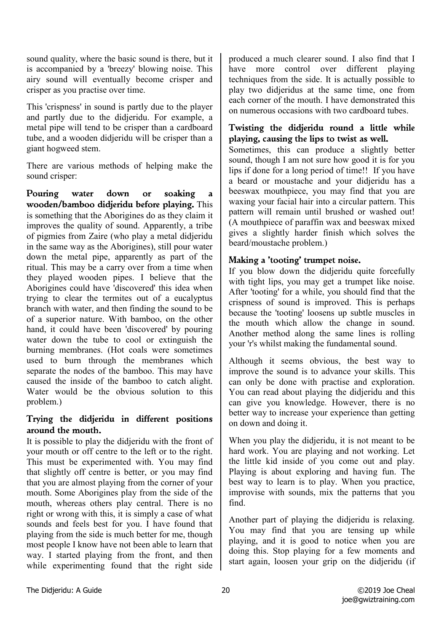sound quality, where the basic sound is there, but it is accompanied by a 'breezy' blowing noise. This airy sound will eventually become crisper and crisper as you practise over time.

This 'crispness' in sound is partly due to the player and partly due to the didjeridu. For example, a metal pipe will tend to be crisper than a cardboard tube, and a wooden didjeridu will be crisper than a giant hogweed stem.

There are various methods of helping make the sound crisper:

Pouring water down or soaking a wooden/bamboo didjeridu before playing. This is something that the Aborigines do as they claim it improves the quality of sound. Apparently, a tribe of pigmies from Zaire (who play a metal didjeridu in the same way as the Aborigines), still pour water down the metal pipe, apparently as part of the ritual. This may be a carry over from a time when they played wooden pipes. I believe that the Aborigines could have 'discovered' this idea when trying to clear the termites out of a eucalyptus branch with water, and then finding the sound to be of a superior nature. With bamboo, on the other hand, it could have been 'discovered' by pouring water down the tube to cool or extinguish the burning membranes. (Hot coals were sometimes used to burn through the membranes which separate the nodes of the bamboo. This may have caused the inside of the bamboo to catch alight. Water would be the obvious solution to this problem.)

#### Trying the didjeridu in different positions around the mouth.

It is possible to play the didjeridu with the front of your mouth or off centre to the left or to the right. This must be experimented with. You may find that slightly off centre is better, or you may find that you are almost playing from the corner of your mouth. Some Aborigines play from the side of the mouth, whereas others play central. There is no right or wrong with this, it is simply a case of what sounds and feels best for you. I have found that playing from the side is much better for me, though most people I know have not been able to learn that way. I started playing from the front, and then while experimenting found that the right side produced a much clearer sound. I also find that I have more control over different playing techniques from the side. It is actually possible to play two didjeridus at the same time, one from each corner of the mouth. I have demonstrated this on numerous occasions with two cardboard tubes.

#### Twisting the didjeridu round a little while playing, causing the lips to twist as well.

Sometimes, this can produce a slightly better sound, though I am not sure how good it is for you lips if done for a long period of time!! If you have a beard or moustache and your didjeridu has a beeswax mouthpiece, you may find that you are waxing your facial hair into a circular pattern. This pattern will remain until brushed or washed out! (A mouthpiece of paraffin wax and beeswax mixed gives a slightly harder finish which solves the beard/moustache problem.)

#### Making a 'tooting' trumpet noise.

If you blow down the didjeridu quite forcefully with tight lips, you may get a trumpet like noise. After 'tooting' for a while, you should find that the crispness of sound is improved. This is perhaps because the 'tooting' loosens up subtle muscles in the mouth which allow the change in sound. Another method along the same lines is rolling your 'r's whilst making the fundamental sound.

Although it seems obvious, the best way to improve the sound is to advance your skills. This can only be done with practise and exploration. You can read about playing the didjeridu and this can give you knowledge. However, there is no better way to increase your experience than getting on down and doing it.

When you play the didjeridu, it is not meant to be hard work. You are playing and not working. Let the little kid inside of you come out and play. Playing is about exploring and having fun. The best way to learn is to play. When you practice, improvise with sounds, mix the patterns that you find.

Another part of playing the didjeridu is relaxing. You may find that you are tensing up while playing, and it is good to notice when you are doing this. Stop playing for a few moments and start again, loosen your grip on the didjeridu (if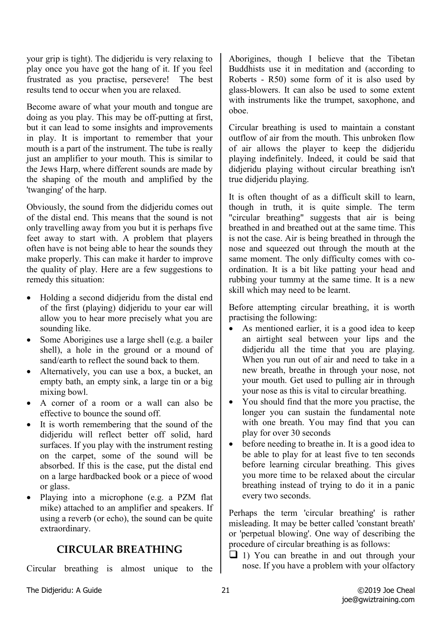your grip is tight). The didjeridu is very relaxing to play once you have got the hang of it. If you feel frustrated as you practise, persevere! The best results tend to occur when you are relaxed.

Become aware of what your mouth and tongue are doing as you play. This may be off-putting at first, but it can lead to some insights and improvements in play. It is important to remember that your mouth is a part of the instrument. The tube is really just an amplifier to your mouth. This is similar to the Jews Harp, where different sounds are made by the shaping of the mouth and amplified by the 'twanging' of the harp.

Obviously, the sound from the didjeridu comes out of the distal end. This means that the sound is not only travelling away from you but it is perhaps five feet away to start with. A problem that players often have is not being able to hear the sounds they make properly. This can make it harder to improve the quality of play. Here are a few suggestions to remedy this situation:

- Holding a second didjeridu from the distal end of the first (playing) didjeridu to your ear will allow you to hear more precisely what you are sounding like.
- Some Aborigines use a large shell (e.g. a bailer shell), a hole in the ground or a mound of sand/earth to reflect the sound back to them.
- Alternatively, you can use a box, a bucket, an empty bath, an empty sink, a large tin or a big mixing bowl.
- A corner of a room or a wall can also be effective to bounce the sound off.
- It is worth remembering that the sound of the didjeridu will reflect better off solid, hard surfaces. If you play with the instrument resting on the carpet, some of the sound will be absorbed. If this is the case, put the distal end on a large hardbacked book or a piece of wood or glass.
- Playing into a microphone (e.g. a PZM flat mike) attached to an amplifier and speakers. If using a reverb (or echo), the sound can be quite extraordinary.

# **CIRCULAR BREATHING**

Circular breathing is almost unique to the

Aborigines, though I believe that the Tibetan Buddhists use it in meditation and (according to Roberts - R50) some form of it is also used by glass-blowers. It can also be used to some extent with instruments like the trumpet, saxophone, and oboe.

Circular breathing is used to maintain a constant outflow of air from the mouth. This unbroken flow of air allows the player to keep the didjeridu playing indefinitely. Indeed, it could be said that didjeridu playing without circular breathing isn't true didjeridu playing.

It is often thought of as a difficult skill to learn, though in truth, it is quite simple. The term "circular breathing" suggests that air is being breathed in and breathed out at the same time. This is not the case. Air is being breathed in through the nose and squeezed out through the mouth at the same moment. The only difficulty comes with coordination. It is a bit like patting your head and rubbing your tummy at the same time. It is a new skill which may need to be learnt.

Before attempting circular breathing, it is worth practising the following:

- As mentioned earlier, it is a good idea to keep an airtight seal between your lips and the didjeridu all the time that you are playing. When you run out of air and need to take in a new breath, breathe in through your nose, not your mouth. Get used to pulling air in through your nose as this is vital to circular breathing.
- You should find that the more you practise, the longer you can sustain the fundamental note with one breath. You may find that you can play for over 30 seconds
- before needing to breathe in. It is a good idea to be able to play for at least five to ten seconds before learning circular breathing. This gives you more time to be relaxed about the circular breathing instead of trying to do it in a panic every two seconds.

Perhaps the term 'circular breathing' is rather misleading. It may be better called 'constant breath' or 'perpetual blowing'. One way of describing the procedure of circular breathing is as follows:

❑ 1) You can breathe in and out through your nose. If you have a problem with your olfactory

The Didjeridu: A Guide 21 and 21 Coloration 21 Coloration 21 Coloration 21 Coloration 21 Coloration 21 Coloration 21 Coloration 21 Coloration 21 Coloration 21 Coloration 21 Coloration 21 Coloration 21 and 2019 Joe Cheal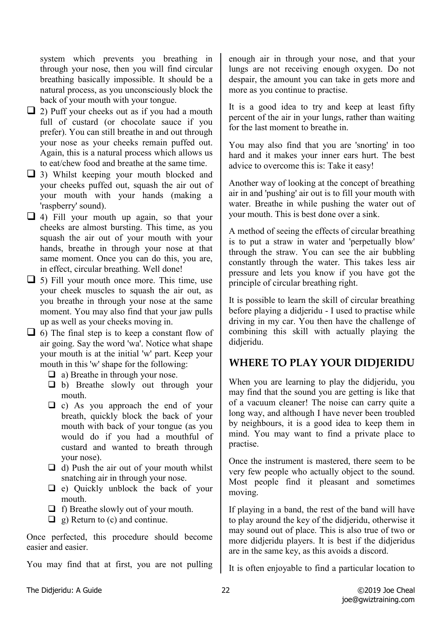system which prevents you breathing in through your nose, then you will find circular breathing basically impossible. It should be a natural process, as you unconsciously block the back of your mouth with your tongue.

- $\Box$  2) Puff your cheeks out as if you had a mouth full of custard (or chocolate sauce if you prefer). You can still breathe in and out through your nose as your cheeks remain puffed out. Again, this is a natural process which allows us to eat/chew food and breathe at the same time.
- ❑ 3) Whilst keeping your mouth blocked and your cheeks puffed out, squash the air out of your mouth with your hands (making a 'raspberry' sound).
- ❑ 4) Fill your mouth up again, so that your cheeks are almost bursting. This time, as you squash the air out of your mouth with your hands, breathe in through your nose at that same moment. Once you can do this, you are, in effect, circular breathing. Well done!
- ❑ 5) Fill your mouth once more. This time, use your cheek muscles to squash the air out, as you breathe in through your nose at the same moment. You may also find that your jaw pulls up as well as your cheeks moving in.

 $\Box$  6) The final step is to keep a constant flow of air going. Say the word 'wa'. Notice what shape your mouth is at the initial 'w' part. Keep your mouth in this 'w' shape for the following:

- ❑ a) Breathe in through your nose.
- ❑ b) Breathe slowly out through your mouth.
- ❑ c) As you approach the end of your breath, quickly block the back of your mouth with back of your tongue (as you would do if you had a mouthful of custard and wanted to breath through your nose).
- ❑ d) Push the air out of your mouth whilst snatching air in through your nose.
- ❑ e) Quickly unblock the back of your mouth.
- ❑ f) Breathe slowly out of your mouth.
- ❑ g) Return to (c) and continue.

Once perfected, this procedure should become easier and easier.

You may find that at first, you are not pulling

enough air in through your nose, and that your lungs are not receiving enough oxygen. Do not despair, the amount you can take in gets more and more as you continue to practise.

It is a good idea to try and keep at least fifty percent of the air in your lungs, rather than waiting for the last moment to breathe in.

You may also find that you are 'snorting' in too hard and it makes your inner ears hurt. The best advice to overcome this is: Take it easy!

Another way of looking at the concept of breathing air in and 'pushing' air out is to fill your mouth with water. Breathe in while pushing the water out of your mouth. This is best done over a sink.

A method of seeing the effects of circular breathing is to put a straw in water and 'perpetually blow' through the straw. You can see the air bubbling constantly through the water. This takes less air pressure and lets you know if you have got the principle of circular breathing right.

It is possible to learn the skill of circular breathing before playing a didjeridu - I used to practise while driving in my car. You then have the challenge of combining this skill with actually playing the didjeridu.

# **WHERE TO PLAY YOUR DIDJERIDU**

When you are learning to play the didjeridu, you may find that the sound you are getting is like that of a vacuum cleaner! The noise can carry quite a long way, and although I have never been troubled by neighbours, it is a good idea to keep them in mind. You may want to find a private place to practise.

Once the instrument is mastered, there seem to be very few people who actually object to the sound. Most people find it pleasant and sometimes moving.

If playing in a band, the rest of the band will have to play around the key of the didjeridu, otherwise it may sound out of place. This is also true of two or more didjeridu players. It is best if the didjeridus are in the same key, as this avoids a discord.

It is often enjoyable to find a particular location to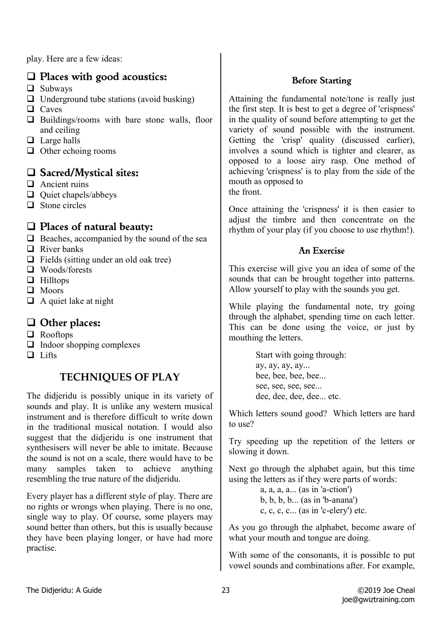play. Here are a few ideas:

# ❑ Places with good acoustics:

- ❑ Subways
- $\Box$  Underground tube stations (avoid busking)
- ❑ Caves
- ❑ Buildings/rooms with bare stone walls, floor and ceiling
- ❑ Large halls
- ❑ Other echoing rooms

# ❑ Sacred/Mystical sites:

- ❑ Ancient ruins
- ❑ Quiet chapels/abbeys
- ❑ Stone circles

# ❑ Places of natural beauty:

- ❑ Beaches, accompanied by the sound of the sea
- ❑ River banks
- $\Box$  Fields (sitting under an old oak tree)
- ❑ Woods/forests
- ❑ Hilltops
- ❑ Moors
- $\Box$  A quiet lake at night

# ❑ Other places:

- ❑ Rooftops
- ❑ Indoor shopping complexes
- ❑ Lifts

# **TECHNIQUES OF PLAY**

The didjeridu is possibly unique in its variety of sounds and play. It is unlike any western musical instrument and is therefore difficult to write down in the traditional musical notation. I would also suggest that the didjeridu is one instrument that synthesisers will never be able to imitate. Because the sound is not on a scale, there would have to be many samples taken to achieve anything resembling the true nature of the didjeridu.

Every player has a different style of play. There are no rights or wrongs when playing. There is no one, single way to play. Of course, some players may sound better than others, but this is usually because they have been playing longer, or have had more practise.

# Before Starting

Attaining the fundamental note/tone is really just the first step. It is best to get a degree of 'crispness' in the quality of sound before attempting to get the variety of sound possible with the instrument. Getting the 'crisp' quality (discussed earlier), involves a sound which is tighter and clearer, as opposed to a loose airy rasp. One method of achieving 'crispness' is to play from the side of the mouth as opposed to the front.

Once attaining the 'crispness' it is then easier to adjust the timbre and then concentrate on the rhythm of your play (if you choose to use rhythm!).

# An Exercise

This exercise will give you an idea of some of the sounds that can be brought together into patterns. Allow yourself to play with the sounds you get.

While playing the fundamental note, try going through the alphabet, spending time on each letter. This can be done using the voice, or just by mouthing the letters.

> Start with going through: ay, ay, ay, ay... bee, bee, bee, bee... see, see, see, see... dee, dee, dee, dee... etc.

Which letters sound good? Which letters are hard to use?

Try speeding up the repetition of the letters or slowing it down.

Next go through the alphabet again, but this time using the letters as if they were parts of words:

 a, a, a, a... (as in 'a-ction') b, b, b, b... (as in 'b-anana') c, c, c, c... (as in 'c-elery') etc.

As you go through the alphabet, become aware of what your mouth and tongue are doing.

With some of the consonants, it is possible to put vowel sounds and combinations after. For example,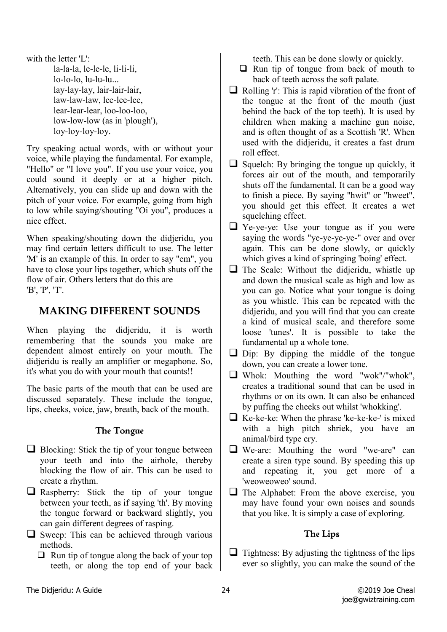with the letter 'L': la-la-la, le-le-le, li-li-li, lo-lo-lo, lu-lu-lu... lay-lay-lay, lair-lair-lair, law-law-law, lee-lee-lee, lear-lear-lear, loo-loo-loo, low-low-low (as in 'plough'), loy-loy-loy-loy.

Try speaking actual words, with or without your voice, while playing the fundamental. For example, "Hello" or "I love you". If you use your voice, you could sound it deeply or at a higher pitch. Alternatively, you can slide up and down with the pitch of your voice. For example, going from high to low while saying/shouting "Oi you", produces a nice effect.

When speaking/shouting down the didjeridu, you may find certain letters difficult to use. The letter 'M' is an example of this. In order to say "em", you have to close your lips together, which shuts off the flow of air. Others letters that do this are 'B', 'P', 'T'.

# **MAKING DIFFERENT SOUNDS**

When playing the didjeridu, it is worth remembering that the sounds you make are dependent almost entirely on your mouth. The didjeridu is really an amplifier or megaphone. So, it's what you do with your mouth that counts!!

The basic parts of the mouth that can be used are discussed separately. These include the tongue, lips, cheeks, voice, jaw, breath, back of the mouth.

#### The Tongue

- $\Box$  Blocking: Stick the tip of your tongue between your teeth and into the airhole, thereby blocking the flow of air. This can be used to create a rhythm.
- ❑ Raspberry: Stick the tip of your tongue between your teeth, as if saying 'th'. By moving the tongue forward or backward slightly, you can gain different degrees of rasping.
- ❑ Sweep: This can be achieved through various methods.
	- $\Box$  Run tip of tongue along the back of your top teeth, or along the top end of your back

teeth. This can be done slowly or quickly.

- ❑ Run tip of tongue from back of mouth to back of teeth across the soft palate.
- $\Box$  Rolling 'r': This is rapid vibration of the front of the tongue at the front of the mouth (just behind the back of the top teeth). It is used by children when making a machine gun noise, and is often thought of as a Scottish 'R'. When used with the didjeridu, it creates a fast drum roll effect.
- $\Box$  Squelch: By bringing the tongue up quickly, it forces air out of the mouth, and temporarily shuts off the fundamental. It can be a good way to finish a piece. By saying "hwit" or "hweet", you should get this effect. It creates a wet squelching effect.
- ❑ Ye-ye-ye: Use your tongue as if you were saying the words "ye-ye-ye-ye-" over and over again. This can be done slowly, or quickly which gives a kind of springing 'boing' effect.
- ❑ The Scale: Without the didjeridu, whistle up and down the musical scale as high and low as you can go. Notice what your tongue is doing as you whistle. This can be repeated with the didjeridu, and you will find that you can create a kind of musical scale, and therefore some loose 'tunes'. It is possible to take the fundamental up a whole tone.
- ❑ Dip: By dipping the middle of the tongue down, you can create a lower tone.
- ❑ Whok: Mouthing the word "wok"/"whok", creates a traditional sound that can be used in rhythms or on its own. It can also be enhanced by puffing the cheeks out whilst 'whokking'.
- $\Box$  Ke-ke-ke: When the phrase 'ke-ke-ke-' is mixed with a high pitch shriek, you have an animal/bird type cry.
- ❑ We-are: Mouthing the word "we-are" can create a siren type sound. By speeding this up and repeating it, you get more of a 'weoweoweo' sound.
- ❑ The Alphabet: From the above exercise, you may have found your own noises and sounds that you like. It is simply a case of exploring.

#### The Lips

 $\Box$  Tightness: By adjusting the tightness of the lips ever so slightly, you can make the sound of the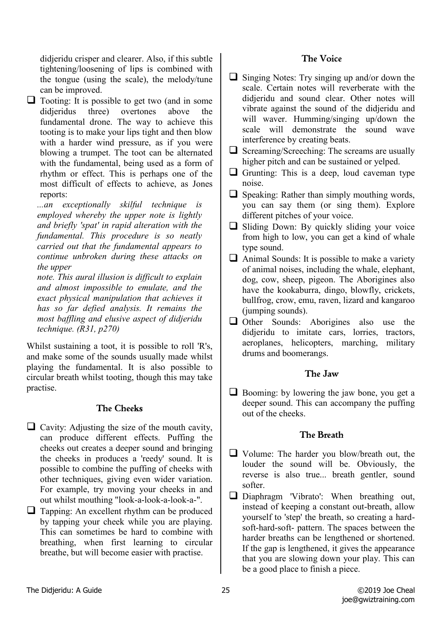didjeridu crisper and clearer. Also, if this subtle tightening/loosening of lips is combined with the tongue (using the scale), the melody/tune can be improved.

□ Tooting: It is possible to get two (and in some didjeridus three) overtones above the overtones above the fundamental drone. The way to achieve this tooting is to make your lips tight and then blow with a harder wind pressure, as if you were blowing a trumpet. The toot can be alternated with the fundamental, being used as a form of rhythm or effect. This is perhaps one of the most difficult of effects to achieve, as Jones reports:

*...an exceptionally skilful technique is employed whereby the upper note is lightly and briefly 'spat' in rapid alteration with the fundamental. This procedure is so neatly carried out that the fundamental appears to continue unbroken during these attacks on the upper* 

*note. This aural illusion is difficult to explain and almost impossible to emulate, and the exact physical manipulation that achieves it has so far defied analysis. It remains the most baffling and elusive aspect of didjeridu technique. (R31, p270)*

Whilst sustaining a toot, it is possible to roll 'R's, and make some of the sounds usually made whilst playing the fundamental. It is also possible to circular breath whilst tooting, though this may take practise.

#### The Cheeks

- $\Box$  Cavity: Adjusting the size of the mouth cavity, can produce different effects. Puffing the cheeks out creates a deeper sound and bringing the cheeks in produces a 'reedy' sound. It is possible to combine the puffing of cheeks with other techniques, giving even wider variation. For example, try moving your cheeks in and out whilst mouthing "look-a-look-a-look-a-".
- ❑ Tapping: An excellent rhythm can be produced by tapping your cheek while you are playing. This can sometimes be hard to combine with breathing, when first learning to circular breathe, but will become easier with practise.

#### The Voice

- $\Box$  Singing Notes: Try singing up and/or down the scale. Certain notes will reverberate with the didjeridu and sound clear. Other notes will vibrate against the sound of the didjeridu and will waver. Humming/singing up/down the scale will demonstrate the sound wave interference by creating beats.
- $\Box$  Screaming/Screeching: The screams are usually higher pitch and can be sustained or yelped.
- $\Box$  Grunting: This is a deep, loud caveman type noise.
- □ Speaking: Rather than simply mouthing words, you can say them (or sing them). Explore different pitches of your voice.
- ❑ Sliding Down: By quickly sliding your voice from high to low, you can get a kind of whale type sound.
- $\Box$  Animal Sounds: It is possible to make a variety of animal noises, including the whale, elephant, dog, cow, sheep, pigeon. The Aborigines also have the kookaburra, dingo, blowfly, crickets, bullfrog, crow, emu, raven, lizard and kangaroo (jumping sounds).
- ❑ Other Sounds: Aborigines also use the didjeridu to imitate cars, lorries, tractors, aeroplanes, helicopters, marching, military drums and boomerangs.

#### The Jaw

❑ Booming: by lowering the jaw bone, you get a deeper sound. This can accompany the puffing out of the cheeks.

#### The Breath

- ❑ Volume: The harder you blow/breath out, the louder the sound will be. Obviously, the reverse is also true... breath gentler, sound softer.
- ❑ Diaphragm 'Vibrato': When breathing out, instead of keeping a constant out-breath, allow yourself to 'step' the breath, so creating a hardsoft-hard-soft- pattern. The spaces between the harder breaths can be lengthened or shortened. If the gap is lengthened, it gives the appearance that you are slowing down your play. This can be a good place to finish a piece.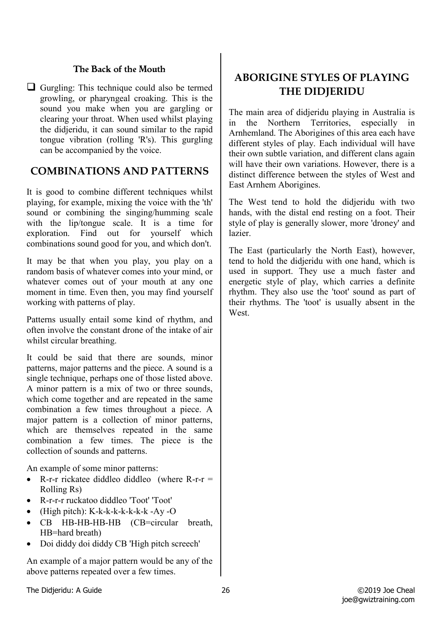#### The Back of the Mouth

❑ Gurgling: This technique could also be termed growling, or pharyngeal croaking. This is the sound you make when you are gargling or clearing your throat. When used whilst playing the didjeridu, it can sound similar to the rapid tongue vibration (rolling 'R's). This gurgling can be accompanied by the voice.

# **COMBINATIONS AND PATTERNS**

It is good to combine different techniques whilst playing, for example, mixing the voice with the 'th' sound or combining the singing/humming scale with the lip/tongue scale. It is a time for exploration. Find out for yourself which combinations sound good for you, and which don't.

It may be that when you play, you play on a random basis of whatever comes into your mind, or whatever comes out of your mouth at any one moment in time. Even then, you may find yourself working with patterns of play.

Patterns usually entail some kind of rhythm, and often involve the constant drone of the intake of air whilst circular breathing.

It could be said that there are sounds, minor patterns, major patterns and the piece. A sound is a single technique, perhaps one of those listed above. A minor pattern is a mix of two or three sounds, which come together and are repeated in the same combination a few times throughout a piece. A major pattern is a collection of minor patterns, which are themselves repeated in the same combination a few times. The piece is the collection of sounds and patterns.

An example of some minor patterns:

- R-r-r rickatee diddleo diddleo (where  $R$ -r-r = Rolling Rs)
- R-r-r-r ruckatoo diddleo 'Toot' 'Toot'
- (High pitch): K-k-k-k-k-k-k-k -Ay -O
- CB HB-HB-HB-HB (CB=circular breath, HB=hard breath)
- Doi diddy doi diddy CB 'High pitch screech'

An example of a major pattern would be any of the above patterns repeated over a few times.

# **ABORIGINE STYLES OF PLAYING THE DIDJERIDU**

The main area of didjeridu playing in Australia is in the Northern Territories, especially in Arnhemland. The Aborigines of this area each have different styles of play. Each individual will have their own subtle variation, and different clans again will have their own variations. However, there is a distinct difference between the styles of West and East Arnhem Aborigines.

The West tend to hold the didjeridu with two hands, with the distal end resting on a foot. Their style of play is generally slower, more 'droney' and lazier.

The East (particularly the North East), however, tend to hold the didjeridu with one hand, which is used in support. They use a much faster and energetic style of play, which carries a definite rhythm. They also use the 'toot' sound as part of their rhythms. The 'toot' is usually absent in the **West**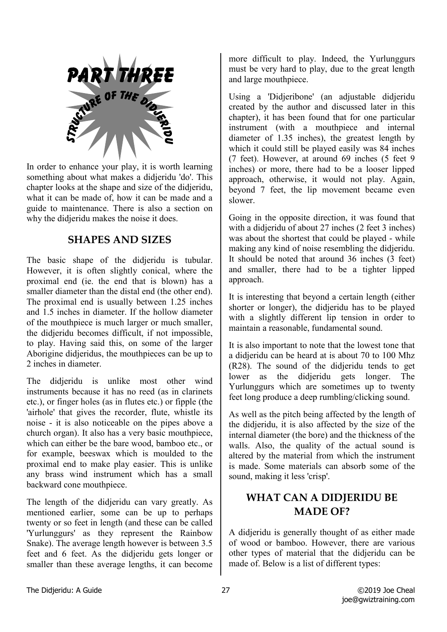

In order to enhance your play, it is worth learning something about what makes a didjeridu 'do'. This chapter looks at the shape and size of the didjeridu, what it can be made of, how it can be made and a guide to maintenance. There is also a section on why the didjeridu makes the noise it does.

# **SHAPES AND SIZES**

The basic shape of the didjeridu is tubular. However, it is often slightly conical, where the proximal end (ie. the end that is blown) has a smaller diameter than the distal end (the other end). The proximal end is usually between 1.25 inches and 1.5 inches in diameter. If the hollow diameter of the mouthpiece is much larger or much smaller, the didjeridu becomes difficult, if not impossible, to play. Having said this, on some of the larger Aborigine didjeridus, the mouthpieces can be up to 2 inches in diameter.

The didjeridu is unlike most other wind instruments because it has no reed (as in clarinets etc.), or finger holes (as in flutes etc.) or fipple (the 'airhole' that gives the recorder, flute, whistle its noise - it is also noticeable on the pipes above a church organ). It also has a very basic mouthpiece, which can either be the bare wood, bamboo etc., or for example, beeswax which is moulded to the proximal end to make play easier. This is unlike any brass wind instrument which has a small backward cone mouthpiece.

The length of the didjeridu can vary greatly. As mentioned earlier, some can be up to perhaps twenty or so feet in length (and these can be called 'Yurlunggurs' as they represent the Rainbow Snake). The average length however is between 3.5 feet and 6 feet. As the didjeridu gets longer or smaller than these average lengths, it can become more difficult to play. Indeed, the Yurlunggurs must be very hard to play, due to the great length and large mouthpiece.

Using a 'Didjeribone' (an adjustable didjeridu created by the author and discussed later in this chapter), it has been found that for one particular instrument (with a mouthpiece and internal diameter of 1.35 inches), the greatest length by which it could still be played easily was 84 inches (7 feet). However, at around 69 inches (5 feet 9 inches) or more, there had to be a looser lipped approach, otherwise, it would not play. Again, beyond 7 feet, the lip movement became even slower.

Going in the opposite direction, it was found that with a didjeridu of about 27 inches (2 feet 3 inches) was about the shortest that could be played - while making any kind of noise resembling the didjeridu. It should be noted that around 36 inches (3 feet) and smaller, there had to be a tighter lipped approach.

It is interesting that beyond a certain length (either shorter or longer), the didjeridu has to be played with a slightly different lip tension in order to maintain a reasonable, fundamental sound.

It is also important to note that the lowest tone that a didjeridu can be heard at is about 70 to 100 Mhz (R28). The sound of the didjeridu tends to get lower as the didjeridu gets longer. The Yurlunggurs which are sometimes up to twenty feet long produce a deep rumbling/clicking sound.

As well as the pitch being affected by the length of the didjeridu, it is also affected by the size of the internal diameter (the bore) and the thickness of the walls. Also, the quality of the actual sound is altered by the material from which the instrument is made. Some materials can absorb some of the sound, making it less 'crisp'.

# **WHAT CAN A DIDJERIDU BE MADE OF?**

A didjeridu is generally thought of as either made of wood or bamboo. However, there are various other types of material that the didjeridu can be made of. Below is a list of different types: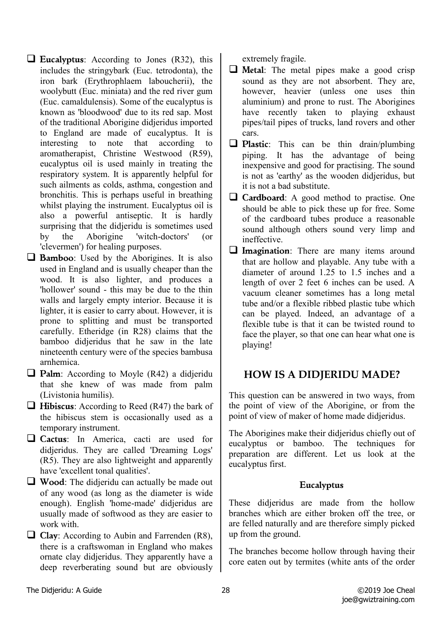- $\Box$  Eucalyptus: According to Jones (R32), this includes the stringybark (Euc. tetrodonta), the iron bark (Erythrophlaem laboucherii), the woolybutt (Euc. miniata) and the red river gum (Euc. camaldulensis). Some of the eucalyptus is known as 'bloodwood' due to its red sap. Most of the traditional Aborigine didjeridus imported to England are made of eucalyptus. It is interesting to note that according to aromatherapist, Christine Westwood (R59), eucalyptus oil is used mainly in treating the respiratory system. It is apparently helpful for such ailments as colds, asthma, congestion and bronchitis. This is perhaps useful in breathing whilst playing the instrument. Eucalyptus oil is also a powerful antiseptic. It is hardly surprising that the didjeridu is sometimes used by the Aborigine 'witch-doctors' (or 'clevermen') for healing purposes.
- $\Box$  **Bamboo**: Used by the Aborigines. It is also used in England and is usually cheaper than the wood. It is also lighter, and produces a 'hollower' sound - this may be due to the thin walls and largely empty interior. Because it is lighter, it is easier to carry about. However, it is prone to splitting and must be transported carefully. Etheridge (in R28) claims that the bamboo didjeridus that he saw in the late nineteenth century were of the species bambusa arnhemica.
- ❑ Palm: According to Moyle (R42) a didjeridu that she knew of was made from palm (Livistonia humilis).
- $\Box$  Hibiscus: According to Reed (R47) the bark of the hibiscus stem is occasionally used as a temporary instrument.
- ❑ Cactus: In America, cacti are used for didjeridus. They are called 'Dreaming Logs' (R5). They are also lightweight and apparently have 'excellent tonal qualities'.
- ❑ Wood: The didjeridu can actually be made out of any wood (as long as the diameter is wide enough). English 'home-made' didjeridus are usually made of softwood as they are easier to work with.
- $\Box$  Clay: According to Aubin and Farrenden (R8), there is a craftswoman in England who makes ornate clay didjeridus. They apparently have a deep reverberating sound but are obviously

extremely fragile.

- ❑ Metal: The metal pipes make a good crisp sound as they are not absorbent. They are, however, heavier (unless one uses thin aluminium) and prone to rust. The Aborigines have recently taken to playing exhaust pipes/tail pipes of trucks, land rovers and other cars.
- $\Box$  Plastic: This can be thin drain/plumbing piping. It has the advantage of being inexpensive and good for practising. The sound is not as 'earthy' as the wooden didjeridus, but it is not a bad substitute.
- ❑ Cardboard: A good method to practise. One should be able to pick these up for free. Some of the cardboard tubes produce a reasonable sound although others sound very limp and ineffective.
- □ Imagination: There are many items around that are hollow and playable. Any tube with a diameter of around 1.25 to 1.5 inches and a length of over 2 feet 6 inches can be used. A vacuum cleaner sometimes has a long metal tube and/or a flexible ribbed plastic tube which can be played. Indeed, an advantage of a flexible tube is that it can be twisted round to face the player, so that one can hear what one is playing!

# **HOW IS A DIDJERIDU MADE?**

This question can be answered in two ways, from the point of view of the Aborigine, or from the point of view of maker of home made didjeridus.

The Aborigines make their didjeridus chiefly out of eucalyptus or bamboo. The techniques for preparation are different. Let us look at the eucalyptus first.

#### Eucalyptus

These didjeridus are made from the hollow branches which are either broken off the tree, or are felled naturally and are therefore simply picked up from the ground.

The branches become hollow through having their core eaten out by termites (white ants of the order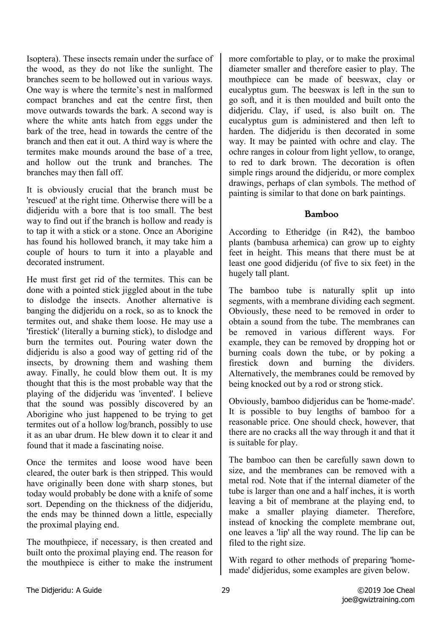Isoptera). These insects remain under the surface of the wood, as they do not like the sunlight. The branches seem to be hollowed out in various ways. One way is where the termite's nest in malformed compact branches and eat the centre first, then move outwards towards the bark. A second way is where the white ants hatch from eggs under the bark of the tree, head in towards the centre of the branch and then eat it out. A third way is where the termites make mounds around the base of a tree, and hollow out the trunk and branches. The branches may then fall off.

It is obviously crucial that the branch must be 'rescued' at the right time. Otherwise there will be a didjeridu with a bore that is too small. The best way to find out if the branch is hollow and ready is to tap it with a stick or a stone. Once an Aborigine has found his hollowed branch, it may take him a couple of hours to turn it into a playable and decorated instrument.

He must first get rid of the termites. This can be done with a pointed stick jiggled about in the tube to dislodge the insects. Another alternative is banging the didjeridu on a rock, so as to knock the termites out, and shake them loose. He may use a 'firestick' (literally a burning stick), to dislodge and burn the termites out. Pouring water down the didjeridu is also a good way of getting rid of the insects, by drowning them and washing them away. Finally, he could blow them out. It is my thought that this is the most probable way that the playing of the didjeridu was 'invented'. I believe that the sound was possibly discovered by an Aborigine who just happened to be trying to get termites out of a hollow log/branch, possibly to use it as an ubar drum. He blew down it to clear it and found that it made a fascinating noise.

Once the termites and loose wood have been cleared, the outer bark is then stripped. This would have originally been done with sharp stones, but today would probably be done with a knife of some sort. Depending on the thickness of the didjeridu, the ends may be thinned down a little, especially the proximal playing end.

The mouthpiece, if necessary, is then created and built onto the proximal playing end. The reason for the mouthpiece is either to make the instrument more comfortable to play, or to make the proximal diameter smaller and therefore easier to play. The mouthpiece can be made of beeswax, clay or eucalyptus gum. The beeswax is left in the sun to go soft, and it is then moulded and built onto the didjeridu. Clay, if used, is also built on. The eucalyptus gum is administered and then left to harden. The didjeridu is then decorated in some way. It may be painted with ochre and clay. The ochre ranges in colour from light yellow, to orange, to red to dark brown. The decoration is often simple rings around the didjeridu, or more complex drawings, perhaps of clan symbols. The method of painting is similar to that done on bark paintings.

#### Bamboo

According to Etheridge (in R42), the bamboo plants (bambusa arhemica) can grow up to eighty feet in height. This means that there must be at least one good didjeridu (of five to six feet) in the hugely tall plant.

The bamboo tube is naturally split up into segments, with a membrane dividing each segment. Obviously, these need to be removed in order to obtain a sound from the tube. The membranes can be removed in various different ways. For example, they can be removed by dropping hot or burning coals down the tube, or by poking a firestick down and burning the dividers. Alternatively, the membranes could be removed by being knocked out by a rod or strong stick.

Obviously, bamboo didjeridus can be 'home-made'. It is possible to buy lengths of bamboo for a reasonable price. One should check, however, that there are no cracks all the way through it and that it is suitable for play.

The bamboo can then be carefully sawn down to size, and the membranes can be removed with a metal rod. Note that if the internal diameter of the tube is larger than one and a half inches, it is worth leaving a bit of membrane at the playing end, to make a smaller playing diameter. Therefore, instead of knocking the complete membrane out, one leaves a 'lip' all the way round. The lip can be filed to the right size.

With regard to other methods of preparing 'homemade' didjeridus, some examples are given below.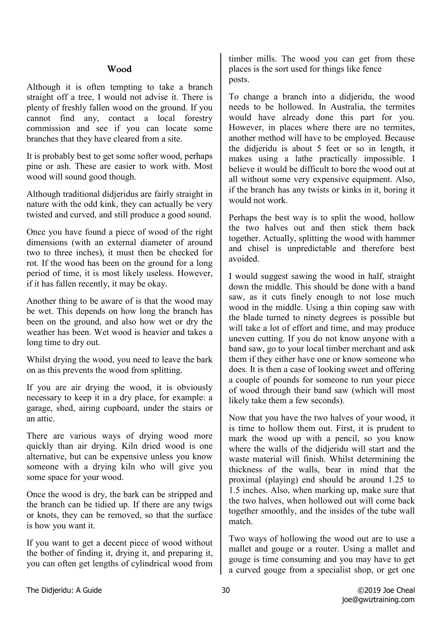#### Wood

Although it is often tempting to take a branch straight off a tree, I would not advise it. There is plenty of freshly fallen wood on the ground. If you cannot find any, contact a local forestry commission and see if you can locate some branches that they have cleared from a site.

It is probably best to get some softer wood, perhaps pine or ash. These are easier to work with. Most wood will sound good though.

Although traditional didjeridus are fairly straight in nature with the odd kink, they can actually be very twisted and curved, and still produce a good sound.

Once you have found a piece of wood of the right dimensions (with an external diameter of around two to three inches), it must then be checked for rot. If the wood has been on the ground for a long period of time, it is most likely useless. However, if it has fallen recently, it may be okay.

Another thing to be aware of is that the wood may be wet. This depends on how long the branch has been on the ground, and also how wet or dry the weather has been. Wet wood is heavier and takes a long time to dry out.

Whilst drying the wood, you need to leave the bark on as this prevents the wood from splitting.

If you are air drying the wood, it is obviously necessary to keep it in a dry place, for example: a garage, shed, airing cupboard, under the stairs or an attic.

There are various ways of drying wood more quickly than air drying. Kiln dried wood is one alternative, but can be expensive unless you know someone with a drying kiln who will give you some space for your wood.

Once the wood is dry, the bark can be stripped and the branch can be tidied up. If there are any twigs or knots, they can be removed, so that the surface is how you want it.

If you want to get a decent piece of wood without the bother of finding it, drying it, and preparing it, you can often get lengths of cylindrical wood from timber mills. The wood you can get from these places is the sort used for things like fence posts.

To change a branch into a didjeridu, the wood needs to be hollowed. In Australia, the termites would have already done this part for you. However, in places where there are no termites, another method will have to be employed. Because the didjeridu is about 5 feet or so in length, it makes using a lathe practically impossible. I believe it would be difficult to bore the wood out at all without some very expensive equipment. Also, if the branch has any twists or kinks in it, boring it would not work.

Perhaps the best way is to split the wood, hollow the two halves out and then stick them back together. Actually, splitting the wood with hammer and chisel is unpredictable and therefore best avoided.

I would suggest sawing the wood in half, straight down the middle. This should be done with a band saw, as it cuts finely enough to not lose much wood in the middle. Using a thin coping saw with the blade turned to ninety degrees is possible but will take a lot of effort and time, and may produce uneven cutting. If you do not know anyone with a band saw, go to your local timber merchant and ask them if they either have one or know someone who does. It is then a case of looking sweet and offering a couple of pounds for someone to run your piece of wood through their band saw (which will most likely take them a few seconds).

Now that you have the two halves of your wood, it is time to hollow them out. First, it is prudent to mark the wood up with a pencil, so you know where the walls of the didjeridu will start and the waste material will finish. Whilst determining the thickness of the walls, bear in mind that the proximal (playing) end should be around 1.25 to 1.5 inches. Also, when marking up, make sure that the two halves, when hollowed out will come back together smoothly, and the insides of the tube wall match.

Two ways of hollowing the wood out are to use a mallet and gouge or a router. Using a mallet and gouge is time consuming and you may have to get a curved gouge from a specialist shop, or get one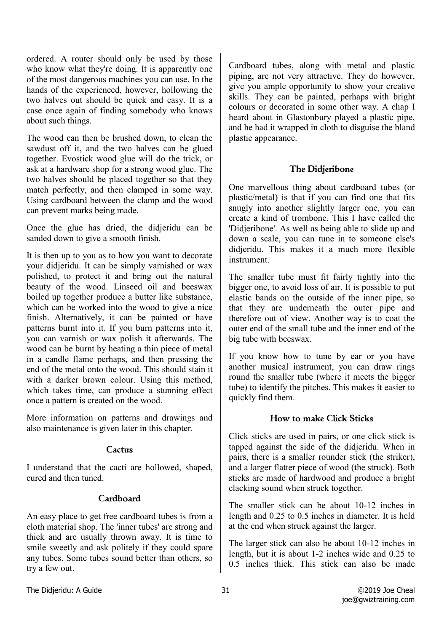ordered. A router should only be used by those who know what they're doing. It is apparently one of the most dangerous machines you can use. In the hands of the experienced, however, hollowing the two halves out should be quick and easy. It is a case once again of finding somebody who knows about such things.

The wood can then be brushed down, to clean the sawdust off it, and the two halves can be glued together. Evostick wood glue will do the trick, or ask at a hardware shop for a strong wood glue. The two halves should be placed together so that they match perfectly, and then clamped in some way. Using cardboard between the clamp and the wood can prevent marks being made.

Once the glue has dried, the didjeridu can be sanded down to give a smooth finish.

It is then up to you as to how you want to decorate your didjeridu. It can be simply varnished or wax polished, to protect it and bring out the natural beauty of the wood. Linseed oil and beeswax boiled up together produce a butter like substance, which can be worked into the wood to give a nice finish. Alternatively, it can be painted or have patterns burnt into it. If you burn patterns into it, you can varnish or wax polish it afterwards. The wood can be burnt by heating a thin piece of metal in a candle flame perhaps, and then pressing the end of the metal onto the wood. This should stain it with a darker brown colour. Using this method, which takes time, can produce a stunning effect once a pattern is created on the wood.

More information on patterns and drawings and also maintenance is given later in this chapter.

#### **Cactus**

I understand that the cacti are hollowed, shaped, cured and then tuned.

#### Cardboard

An easy place to get free cardboard tubes is from a cloth material shop. The 'inner tubes' are strong and thick and are usually thrown away. It is time to smile sweetly and ask politely if they could spare any tubes. Some tubes sound better than others, so try a few out.

Cardboard tubes, along with metal and plastic piping, are not very attractive. They do however, give you ample opportunity to show your creative skills. They can be painted, perhaps with bright colours or decorated in some other way. A chap I heard about in Glastonbury played a plastic pipe, and he had it wrapped in cloth to disguise the bland plastic appearance.

#### The Didjeribone

One marvellous thing about cardboard tubes (or plastic/metal) is that if you can find one that fits snugly into another slightly larger one, you can create a kind of trombone. This I have called the 'Didjeribone'. As well as being able to slide up and down a scale, you can tune in to someone else's didjeridu. This makes it a much more flexible instrument.

The smaller tube must fit fairly tightly into the bigger one, to avoid loss of air. It is possible to put elastic bands on the outside of the inner pipe, so that they are underneath the outer pipe and therefore out of view. Another way is to coat the outer end of the small tube and the inner end of the big tube with beeswax.

If you know how to tune by ear or you have another musical instrument, you can draw rings round the smaller tube (where it meets the bigger tube) to identify the pitches. This makes it easier to quickly find them.

#### How to make Click Sticks

Click sticks are used in pairs, or one click stick is tapped against the side of the didjeridu. When in pairs, there is a smaller rounder stick (the striker), and a larger flatter piece of wood (the struck). Both sticks are made of hardwood and produce a bright clacking sound when struck together.

The smaller stick can be about 10-12 inches in length and 0.25 to 0.5 inches in diameter. It is held at the end when struck against the larger.

The larger stick can also be about 10-12 inches in length, but it is about 1-2 inches wide and 0.25 to 0.5 inches thick. This stick can also be made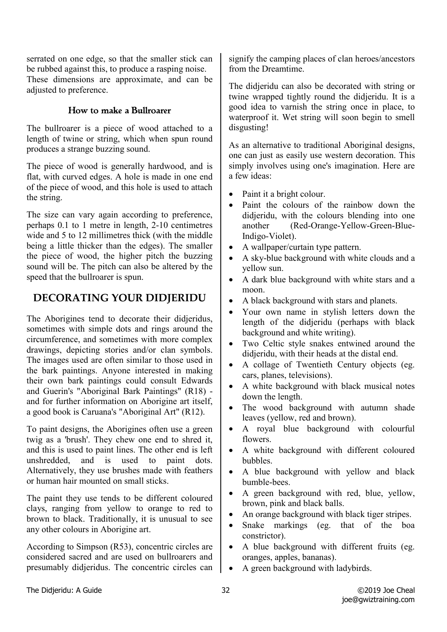serrated on one edge, so that the smaller stick can be rubbed against this, to produce a rasping noise. These dimensions are approximate, and can be adjusted to preference.

#### How to make a Bullroarer

The bullroarer is a piece of wood attached to a length of twine or string, which when spun round produces a strange buzzing sound.

The piece of wood is generally hardwood, and is flat, with curved edges. A hole is made in one end of the piece of wood, and this hole is used to attach the string.

The size can vary again according to preference, perhaps 0.1 to 1 metre in length, 2-10 centimetres wide and 5 to 12 millimetres thick (with the middle being a little thicker than the edges). The smaller the piece of wood, the higher pitch the buzzing sound will be. The pitch can also be altered by the speed that the bullroarer is spun.

# **DECORATING YOUR DIDJERIDU**

The Aborigines tend to decorate their didjeridus, sometimes with simple dots and rings around the circumference, and sometimes with more complex drawings, depicting stories and/or clan symbols. The images used are often similar to those used in the bark paintings. Anyone interested in making their own bark paintings could consult Edwards and Guerin's "Aboriginal Bark Paintings" (R18) and for further information on Aborigine art itself, a good book is Caruana's "Aboriginal Art" (R12).

To paint designs, the Aborigines often use a green twig as a 'brush'. They chew one end to shred it, and this is used to paint lines. The other end is left unshredded, and is used to paint dots. Alternatively, they use brushes made with feathers or human hair mounted on small sticks.

The paint they use tends to be different coloured clays, ranging from yellow to orange to red to brown to black. Traditionally, it is unusual to see any other colours in Aborigine art.

According to Simpson (R53), concentric circles are considered sacred and are used on bullroarers and presumably didjeridus. The concentric circles can signify the camping places of clan heroes/ancestors from the Dreamtime.

The didjeridu can also be decorated with string or twine wrapped tightly round the didjeridu. It is a good idea to varnish the string once in place, to waterproof it. Wet string will soon begin to smell disgusting!

As an alternative to traditional Aboriginal designs, one can just as easily use western decoration. This simply involves using one's imagination. Here are a few ideas:

- Paint it a bright colour.
- Paint the colours of the rainbow down the didjeridu, with the colours blending into one another (Red-Orange-Yellow-Green-Blue-Indigo-Violet).
- A wallpaper/curtain type pattern.
- A sky-blue background with white clouds and a yellow sun.
- A dark blue background with white stars and a moon.
- A black background with stars and planets.
- Your own name in stylish letters down the length of the didjeridu (perhaps with black background and white writing).
- Two Celtic style snakes entwined around the didjeridu, with their heads at the distal end.
- A collage of Twentieth Century objects (eg. cars, planes, televisions).
- A white background with black musical notes down the length.
- The wood background with autumn shade leaves (yellow, red and brown).
- A royal blue background with colourful flowers.
- A white background with different coloured bubbles.
- A blue background with yellow and black bumble-bees.
- A green background with red, blue, yellow, brown, pink and black balls.
- An orange background with black tiger stripes.
- Snake markings (eg. that of the boa constrictor).
- A blue background with different fruits (eg. oranges, apples, bananas).
- A green background with ladybirds.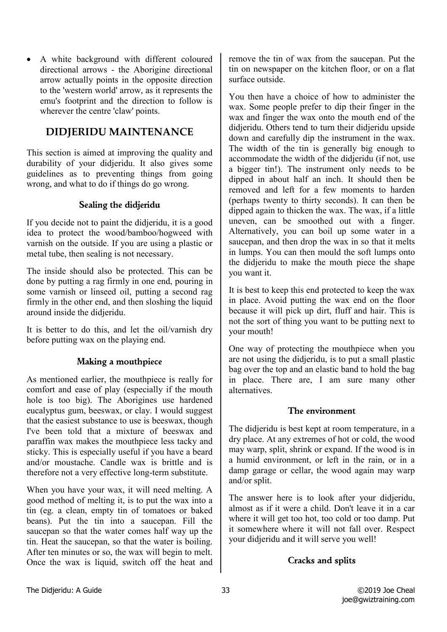• A white background with different coloured directional arrows - the Aborigine directional arrow actually points in the opposite direction to the 'western world' arrow, as it represents the emu's footprint and the direction to follow is wherever the centre 'claw' points.

# **DIDJERIDU MAINTENANCE**

This section is aimed at improving the quality and durability of your didjeridu. It also gives some guidelines as to preventing things from going wrong, and what to do if things do go wrong.

#### Sealing the didjeridu

If you decide not to paint the didjeridu, it is a good idea to protect the wood/bamboo/hogweed with varnish on the outside. If you are using a plastic or metal tube, then sealing is not necessary.

The inside should also be protected. This can be done by putting a rag firmly in one end, pouring in some varnish or linseed oil, putting a second rag firmly in the other end, and then sloshing the liquid around inside the didjeridu.

It is better to do this, and let the oil/varnish dry before putting wax on the playing end.

# Making a mouthpiece

As mentioned earlier, the mouthpiece is really for comfort and ease of play (especially if the mouth hole is too big). The Aborigines use hardened eucalyptus gum, beeswax, or clay. I would suggest that the easiest substance to use is beeswax, though I've been told that a mixture of beeswax and paraffin wax makes the mouthpiece less tacky and sticky. This is especially useful if you have a beard and/or moustache. Candle wax is brittle and is therefore not a very effective long-term substitute.

When you have your wax, it will need melting. A good method of melting it, is to put the wax into a tin (eg. a clean, empty tin of tomatoes or baked beans). Put the tin into a saucepan. Fill the saucepan so that the water comes half way up the tin. Heat the saucepan, so that the water is boiling. After ten minutes or so, the wax will begin to melt. Once the wax is liquid, switch off the heat and remove the tin of wax from the saucepan. Put the tin on newspaper on the kitchen floor, or on a flat surface outside.

You then have a choice of how to administer the wax. Some people prefer to dip their finger in the wax and finger the wax onto the mouth end of the didjeridu. Others tend to turn their didjeridu upside down and carefully dip the instrument in the wax. The width of the tin is generally big enough to accommodate the width of the didjeridu (if not, use a bigger tin!). The instrument only needs to be dipped in about half an inch. It should then be removed and left for a few moments to harden (perhaps twenty to thirty seconds). It can then be dipped again to thicken the wax. The wax, if a little uneven, can be smoothed out with a finger. Alternatively, you can boil up some water in a saucepan, and then drop the wax in so that it melts in lumps. You can then mould the soft lumps onto the didjeridu to make the mouth piece the shape you want it.

It is best to keep this end protected to keep the wax in place. Avoid putting the wax end on the floor because it will pick up dirt, fluff and hair. This is not the sort of thing you want to be putting next to your mouth!

One way of protecting the mouthpiece when you are not using the didjeridu, is to put a small plastic bag over the top and an elastic band to hold the bag in place. There are, I am sure many other alternatives.

#### The environment

The didjeridu is best kept at room temperature, in a dry place. At any extremes of hot or cold, the wood may warp, split, shrink or expand. If the wood is in a humid environment, or left in the rain, or in a damp garage or cellar, the wood again may warp and/or split.

The answer here is to look after your didjeridu, almost as if it were a child. Don't leave it in a car where it will get too hot, too cold or too damp. Put it somewhere where it will not fall over. Respect your didjeridu and it will serve you well!

#### Cracks and splits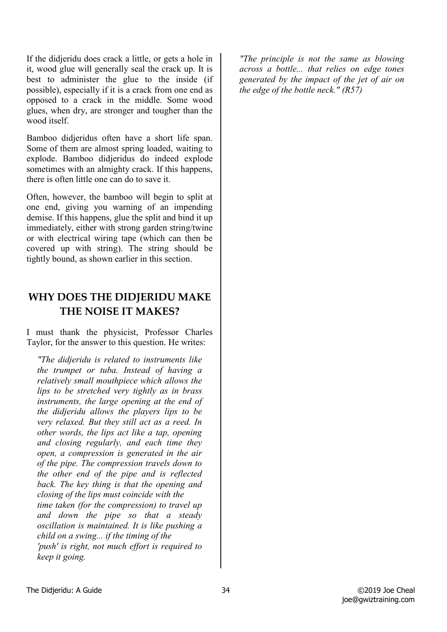If the didjeridu does crack a little, or gets a hole in it, wood glue will generally seal the crack up. It is best to administer the glue to the inside (if possible), especially if it is a crack from one end as opposed to a crack in the middle. Some wood glues, when dry, are stronger and tougher than the wood itself.

Bamboo didjeridus often have a short life span. Some of them are almost spring loaded, waiting to explode. Bamboo didjeridus do indeed explode sometimes with an almighty crack. If this happens, there is often little one can do to save it.

Often, however, the bamboo will begin to split at one end, giving you warning of an impending demise. If this happens, glue the split and bind it up immediately, either with strong garden string/twine or with electrical wiring tape (which can then be covered up with string). The string should be tightly bound, as shown earlier in this section.

# **WHY DOES THE DIDJERIDU MAKE THE NOISE IT MAKES?**

I must thank the physicist, Professor Charles Taylor, for the answer to this question. He writes:

*"The didjeridu is related to instruments like the trumpet or tuba. Instead of having a relatively small mouthpiece which allows the lips to be stretched very tightly as in brass instruments, the large opening at the end of the didjeridu allows the players lips to be very relaxed. But they still act as a reed. In other words, the lips act like a tap, opening and closing regularly, and each time they open, a compression is generated in the air of the pipe. The compression travels down to the other end of the pipe and is reflected back. The key thing is that the opening and closing of the lips must coincide with the time taken (for the compression) to travel up and down the pipe so that a steady oscillation is maintained. It is like pushing a child on a swing... if the timing of the 'push' is right, not much effort is required to keep it going.*

*"The principle is not the same as blowing across a bottle... that relies on edge tones generated by the impact of the jet of air on the edge of the bottle neck." (R57)*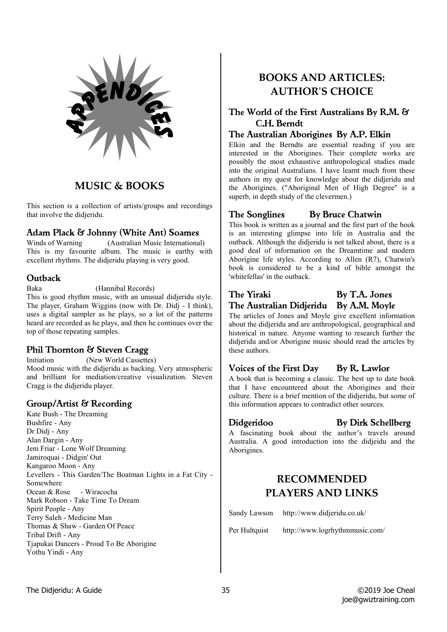

# **MUSIC & BOOKS**

This section is a collection of artists/groups and recordings that involve the didjeridu.

#### Adam Plack & Johnny (White Ant) Soames

Winds of Warning (Australian Music International) This is my favourite album. The music is earthy with excellent rhythms. The didjeridu playing is very good.

#### Outback

Baka (Hannibal Records)

This is good rhythm music, with an unusual didjeridu style. The player, Graham Wiggins (now with Dr. Didj - I think), uses a digital sampler as he plays, so a lot of the patterns heard are recorded as he plays, and then he continues over the top of those repeating samples.

# **Phil Thornton & Steven Cragg**<br>Initiation (New World Cassette

(New World Cassettes) Mood music with the didjeridu as backing. Very atmospheric and brilliant for mediation/creative visualization. Steven Cragg is the didjeridu player.

#### Group/Artist & Recording

Kate Bush - The Dreaming Bushfire - Any Dr Didj - Any Alan Dargin - Any Jem Friar - Lone Wolf Dreaming Jamiroquai - Didgin' Out Kangaroo Moon - Any Levellers - This Garden/The Boatman Lights in a Fat City - Somewhere Ocean & Rose - Wiracocha Mark Robson - Take Time To Dream Spirit People - Any Terry Saleh - Medicine Man Thomas & Shaw - Garden Of Peace Tribal Drift - Any Tjapukai Dancers - Proud To Be Aborigine Yothu Yindi - Any

# **BOOKS AND ARTICLES: AUTHOR'S CHOICE**

#### The World of the First Australians By R.M. & C.H. Berndt

#### The Australian Aborigines By A.P. Elkin

Elkin and the Berndts are essential reading if you are interested in the Aborigines. Their complete works are possibly the most exhaustive anthropological studies made into the original Australians. I have learnt much from these authors in my quest for knowledge about the didjeridu and the Aborigines. ("Aboriginal Men of High Degree" is a superb, in depth study of the clevermen.)

#### The Songlines By Bruce Chatwin

This book is written as a journal and the first part of the book is an interesting glimpse into life in Australia and the outback. Although the didjeridu is not talked about, there is a good deal of information on the Dreamtime and modern Aborigine life styles. According to Allen (R7), Chatwin's book is considered to be a kind of bible amongst the 'whitefellas' in the outback.

### The Yiraki By T.A. Jones The Australian Didjeridu By A.M. Moyle

The articles of Jones and Moyle give excellent information about the didjeridu and are anthropological, geographical and historical in nature. Anyone wanting to research further the didjeridu and/or Aborigine music should read the articles by these authors.

#### Voices of the First Day By R. Lawlor

A book that is becoming a classic. The best up to date book that I have encountered about the Aborigines and their culture. There is a brief mention of the didjeridu, but some of this information appears to contradict other sources.

#### Didgeridoo By Dirk Schellberg

A fascinating book about the author's travels around Australia. A good introduction into the didjeidu and the Aborigines.

# **RECOMMENDED PLAYERS AND LINKS**

Sandy Lawson http://www.didjeridu.co.uk/

Per Hultquist http://www.logrhythmmusic.com/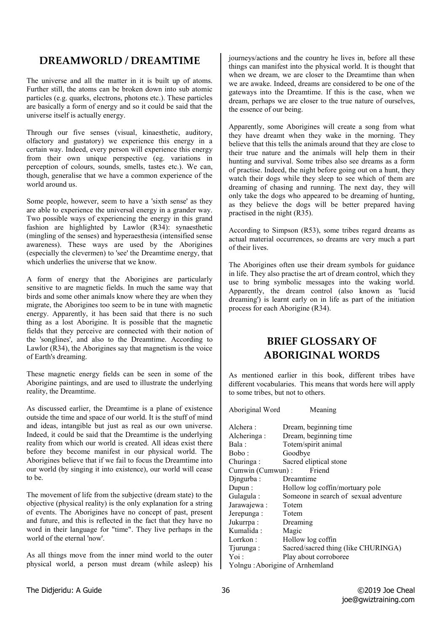# **DREAMWORLD / DREAMTIME**

The universe and all the matter in it is built up of atoms. Further still, the atoms can be broken down into sub atomic particles (e.g. quarks, electrons, photons etc.). These particles are basically a form of energy and so it could be said that the universe itself is actually energy.

Through our five senses (visual, kinaesthetic, auditory, olfactory and gustatory) we experience this energy in a certain way. Indeed, every person will experience this energy from their own unique perspective (eg. variations in perception of colours, sounds, smells, tastes etc.). We can, though, generalise that we have a common experience of the world around us.

Some people, however, seem to have a 'sixth sense' as they are able to experience the universal energy in a grander way. Two possible ways of experiencing the energy in this grand fashion are highlighted by Lawlor (R34): synaesthetic (mingling of the senses) and hyperaesthesia (intensified sense awareness). These ways are used by the Aborigines (especially the clevermen) to 'see' the Dreamtime energy, that which underlies the universe that we know.

A form of energy that the Aborigines are particularly sensitive to are magnetic fields. In much the same way that birds and some other animals know where they are when they migrate, the Aborigines too seem to be in tune with magnetic energy. Apparently, it has been said that there is no such thing as a lost Aborigine. It is possible that the magnetic fields that they perceive are connected with their notion of the 'songlines', and also to the Dreamtime. According to Lawlor (R34), the Aborigines say that magnetism is the voice of Earth's dreaming.

These magnetic energy fields can be seen in some of the Aborigine paintings, and are used to illustrate the underlying reality, the Dreamtime.

As discussed earlier, the Dreamtime is a plane of existence outside the time and space of our world. It is the stuff of mind and ideas, intangible but just as real as our own universe. Indeed, it could be said that the Dreamtime is the underlying reality from which our world is created. All ideas exist there before they become manifest in our physical world. The Aborigines believe that if we fail to focus the Dreamtime into our world (by singing it into existence), our world will cease to be.

The movement of life from the subjective (dream state) to the objective (physical reality) is the only explanation for a string of events. The Aborigines have no concept of past, present and future, and this is reflected in the fact that they have no word in their language for "time". They live perhaps in the world of the eternal 'now'.

As all things move from the inner mind world to the outer physical world, a person must dream (while asleep) his journeys/actions and the country he lives in, before all these things can manifest into the physical world. It is thought that when we dream, we are closer to the Dreamtime than when we are awake. Indeed, dreams are considered to be one of the gateways into the Dreamtime. If this is the case, when we dream, perhaps we are closer to the true nature of ourselves, the essence of our being.

Apparently, some Aborigines will create a song from what they have dreamt when they wake in the morning. They believe that this tells the animals around that they are close to their true nature and the animals will help them in their hunting and survival. Some tribes also see dreams as a form of practise. Indeed, the night before going out on a hunt, they watch their dogs while they sleep to see which of them are dreaming of chasing and running. The next day, they will only take the dogs who appeared to be dreaming of hunting, as they believe the dogs will be better prepared having practised in the night (R35).

According to Simpson (R53), some tribes regard dreams as actual material occurrences, so dreams are very much a part of their lives.

The Aborigines often use their dream symbols for guidance in life. They also practise the art of dream control, which they use to bring symbolic messages into the waking world. Apparently, the dream control (also known as 'lucid dreaming') is learnt early on in life as part of the initiation process for each Aborigine (R34).

# **BRIEF GLOSSARY OF ABORIGINAL WORDS**

As mentioned earlier in this book, different tribes have different vocabularies. This means that words here will apply to some tribes, but not to others.

Aboriginal Word Meaning

| Alchera :                       | Dream, beginning time                 |
|---------------------------------|---------------------------------------|
| Alcheringa:                     | Dream, beginning time                 |
| Bala :                          | Totem/spirit animal                   |
| Bobo :                          | Goodbye                               |
| Churinga:                       | Sacred eliptical stone                |
| Cumwin (Cumwun) :<br>Friend     |                                       |
| Dingurba:                       | Dreamtime                             |
| Dupun:                          | Hollow log coffin/mortuary pole       |
| Gulagula :                      | Someone in search of sexual adventure |
| Jarawajewa:                     | Totem                                 |
| Jerepunga:                      | Totem                                 |
| Jukurrpa:                       | Dreaming                              |
| Kumalida :                      | Magic                                 |
| Lorrkon :                       | Hollow log coffin                     |
| Tjurunga:                       | Sacred/sacred thing (like CHURINGA)   |
| Yoi :                           | Play about corroboree                 |
| Yolngu: Aborigine of Arnhemland |                                       |